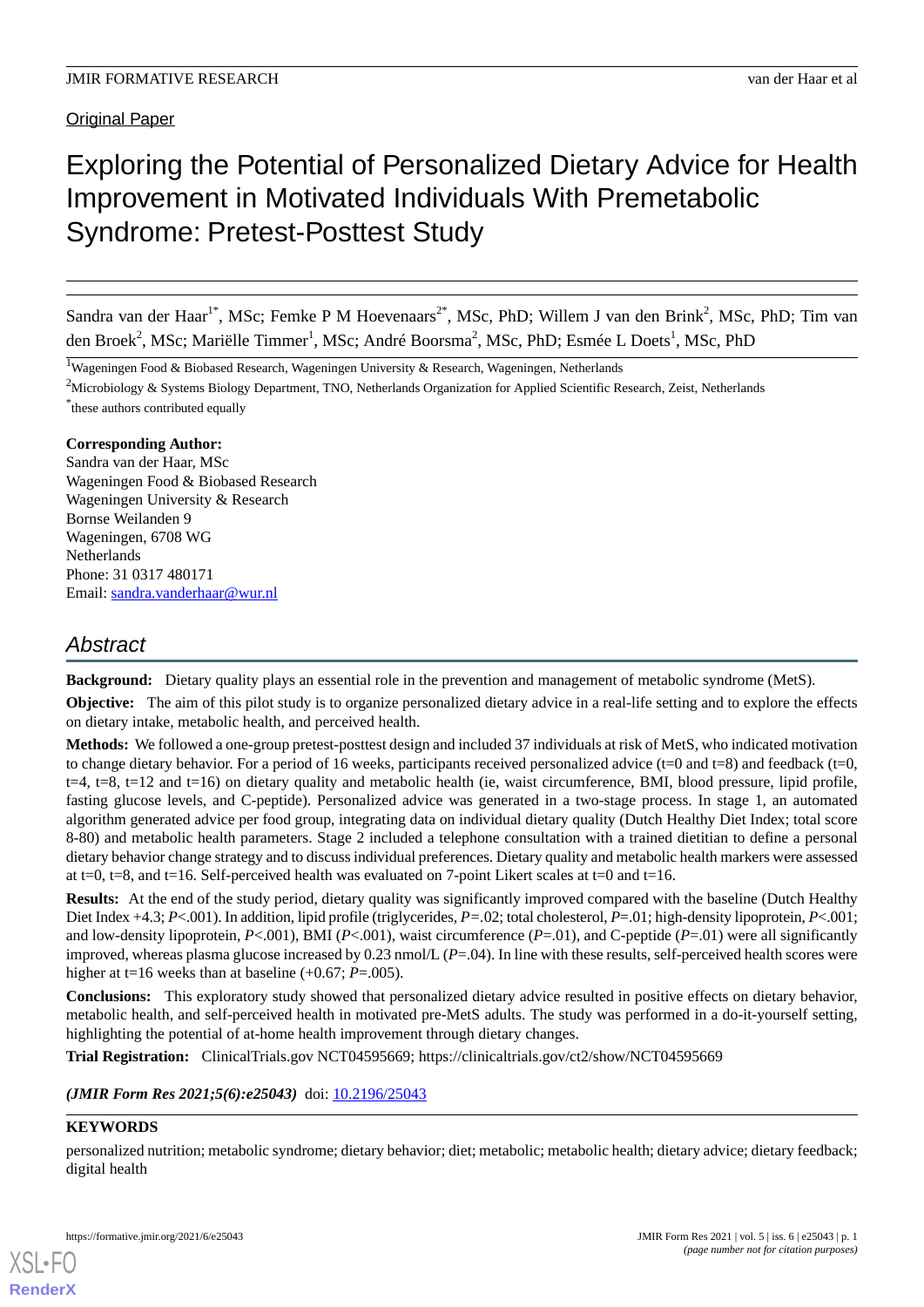# Exploring the Potential of Personalized Dietary Advice for Health Improvement in Motivated Individuals With Premetabolic Syndrome: Pretest-Posttest Study

Sandra van der Haar<sup>1\*</sup>, MSc; Femke P M Hoevenaars<sup>2\*</sup>, MSc, PhD; Willem J van den Brink<sup>2</sup>, MSc, PhD; Tim van den Broek<sup>2</sup>, MSc; Mariëlle Timmer<sup>1</sup>, MSc; André Boorsma<sup>2</sup>, MSc, PhD; Esmée L Doets<sup>1</sup>, MSc, PhD

<sup>1</sup>Wageningen Food & Biobased Research, Wageningen University & Research, Wageningen, Netherlands

<sup>2</sup>Microbiology & Systems Biology Department, TNO, Netherlands Organization for Applied Scientific Research, Zeist, Netherlands \* these authors contributed equally

# **Corresponding Author:**

Sandra van der Haar, MSc Wageningen Food & Biobased Research Wageningen University & Research Bornse Weilanden 9 Wageningen, 6708 WG **Netherlands** Phone: 31 0317 480171 Email: [sandra.vanderhaar@wur.nl](mailto:sandra.vanderhaar@wur.nl)

# *Abstract*

**Background:** Dietary quality plays an essential role in the prevention and management of metabolic syndrome (MetS).

**Objective:** The aim of this pilot study is to organize personalized dietary advice in a real-life setting and to explore the effects on dietary intake, metabolic health, and perceived health.

**Methods:** We followed a one-group pretest-posttest design and included 37 individuals at risk of MetS, who indicated motivation to change dietary behavior. For a period of 16 weeks, participants received personalized advice ( $t=0$  and  $t=8$ ) and feedback ( $t=0$ ,  $t=4$ ,  $t=8$ ,  $t=12$  and  $t=16$ ) on dietary quality and metabolic health (ie, waist circumference, BMI, blood pressure, lipid profile, fasting glucose levels, and C-peptide). Personalized advice was generated in a two-stage process. In stage 1, an automated algorithm generated advice per food group, integrating data on individual dietary quality (Dutch Healthy Diet Index; total score 8-80) and metabolic health parameters. Stage 2 included a telephone consultation with a trained dietitian to define a personal dietary behavior change strategy and to discuss individual preferences. Dietary quality and metabolic health markers were assessed at t=0, t=8, and t=16. Self-perceived health was evaluated on 7-point Likert scales at t=0 and t=16.

**Results:** At the end of the study period, dietary quality was significantly improved compared with the baseline (Dutch Healthy Diet Index +4.3; *P*<.001). In addition, lipid profile (triglycerides, *P=.*02; total cholesterol, *P*=.01; high-density lipoprotein, *P*<.001; and low-density lipoprotein,  $P \le 001$ ), BMI ( $P \le 001$ ), waist circumference ( $P = 01$ ), and C-peptide ( $P = 01$ ) were all significantly improved, whereas plasma glucose increased by 0.23 nmol/L (*P*=.04). In line with these results, self-perceived health scores were higher at t=16 weeks than at baseline (+0.67; *P*=.005).

**Conclusions:** This exploratory study showed that personalized dietary advice resulted in positive effects on dietary behavior, metabolic health, and self-perceived health in motivated pre-MetS adults. The study was performed in a do-it-yourself setting, highlighting the potential of at-home health improvement through dietary changes.

**Trial Registration:** ClinicalTrials.gov NCT04595669; https://clinicaltrials.gov/ct2/show/NCT04595669

(JMIR Form Res 2021;5(6):e25043) doi: [10.2196/25043](http://dx.doi.org/10.2196/25043)

# **KEYWORDS**

[XSL](http://www.w3.org/Style/XSL)•FO **[RenderX](http://www.renderx.com/)**

personalized nutrition; metabolic syndrome; dietary behavior; diet; metabolic; metabolic health; dietary advice; dietary feedback; digital health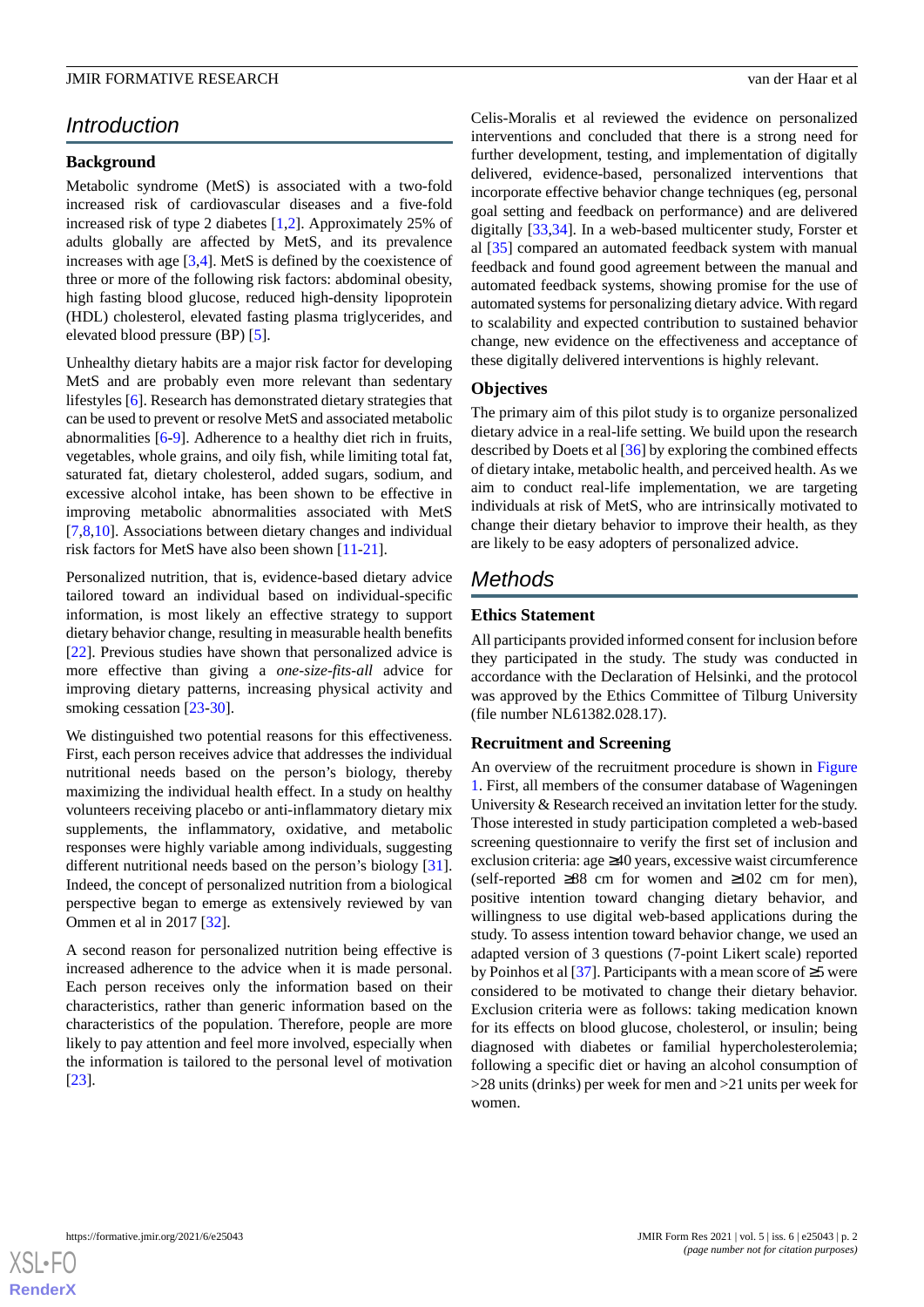# *Introduction*

#### **Background**

Metabolic syndrome (MetS) is associated with a two-fold increased risk of cardiovascular diseases and a five-fold increased risk of type 2 diabetes [\[1](#page-11-0),[2](#page-11-1)]. Approximately 25% of adults globally are affected by MetS, and its prevalence increases with age [\[3](#page-11-2),[4\]](#page-11-3). MetS is defined by the coexistence of three or more of the following risk factors: abdominal obesity, high fasting blood glucose, reduced high-density lipoprotein (HDL) cholesterol, elevated fasting plasma triglycerides, and elevated blood pressure (BP) [[5\]](#page-11-4).

Unhealthy dietary habits are a major risk factor for developing MetS and are probably even more relevant than sedentary lifestyles [\[6](#page-11-5)]. Research has demonstrated dietary strategies that can be used to prevent or resolve MetS and associated metabolic abnormalities [\[6](#page-11-5)[-9](#page-12-0)]. Adherence to a healthy diet rich in fruits, vegetables, whole grains, and oily fish, while limiting total fat, saturated fat, dietary cholesterol, added sugars, sodium, and excessive alcohol intake, has been shown to be effective in improving metabolic abnormalities associated with MetS [[7](#page-11-6)[,8](#page-11-7),[10\]](#page-12-1). Associations between dietary changes and individual risk factors for MetS have also been shown [[11-](#page-12-2)[21](#page-12-3)].

Personalized nutrition, that is, evidence-based dietary advice tailored toward an individual based on individual-specific information, is most likely an effective strategy to support dietary behavior change, resulting in measurable health benefits [[22\]](#page-12-4). Previous studies have shown that personalized advice is more effective than giving a *one-size-fits-all* advice for improving dietary patterns, increasing physical activity and smoking cessation [[23](#page-12-5)[-30](#page-13-0)].

We distinguished two potential reasons for this effectiveness. First, each person receives advice that addresses the individual nutritional needs based on the person's biology, thereby maximizing the individual health effect. In a study on healthy volunteers receiving placebo or anti-inflammatory dietary mix supplements, the inflammatory, oxidative, and metabolic responses were highly variable among individuals, suggesting different nutritional needs based on the person's biology [[31\]](#page-13-1). Indeed, the concept of personalized nutrition from a biological perspective began to emerge as extensively reviewed by van Ommen et al in 2017 [[32\]](#page-13-2).

A second reason for personalized nutrition being effective is increased adherence to the advice when it is made personal. Each person receives only the information based on their characteristics, rather than generic information based on the characteristics of the population. Therefore, people are more likely to pay attention and feel more involved, especially when the information is tailored to the personal level of motivation [[23\]](#page-12-5).

Celis-Moralis et al reviewed the evidence on personalized interventions and concluded that there is a strong need for further development, testing, and implementation of digitally delivered, evidence-based, personalized interventions that incorporate effective behavior change techniques (eg, personal goal setting and feedback on performance) and are delivered digitally [\[33](#page-13-3),[34\]](#page-13-4). In a web-based multicenter study, Forster et al [\[35](#page-13-5)] compared an automated feedback system with manual feedback and found good agreement between the manual and automated feedback systems, showing promise for the use of automated systems for personalizing dietary advice. With regard to scalability and expected contribution to sustained behavior change, new evidence on the effectiveness and acceptance of these digitally delivered interventions is highly relevant.

#### **Objectives**

The primary aim of this pilot study is to organize personalized dietary advice in a real-life setting. We build upon the research described by Doets et al [\[36](#page-13-6)] by exploring the combined effects of dietary intake, metabolic health, and perceived health. As we aim to conduct real-life implementation, we are targeting individuals at risk of MetS, who are intrinsically motivated to change their dietary behavior to improve their health, as they are likely to be easy adopters of personalized advice.

# *Methods*

# **Ethics Statement**

All participants provided informed consent for inclusion before they participated in the study. The study was conducted in accordance with the Declaration of Helsinki, and the protocol was approved by the Ethics Committee of Tilburg University (file number NL61382.028.17).

#### **Recruitment and Screening**

An overview of the recruitment procedure is shown in [Figure](#page-2-0) [1.](#page-2-0) First, all members of the consumer database of Wageningen University & Research received an invitation letter for the study. Those interested in study participation completed a web-based screening questionnaire to verify the first set of inclusion and exclusion criteria: age ≥40 years, excessive waist circumference (self-reported ≥88 cm for women and ≥102 cm for men), positive intention toward changing dietary behavior, and willingness to use digital web-based applications during the study. To assess intention toward behavior change, we used an adapted version of 3 questions (7-point Likert scale) reported by Poinhos et al [\[37](#page-13-7)]. Participants with a mean score of  $\geq$ 5 were considered to be motivated to change their dietary behavior. Exclusion criteria were as follows: taking medication known for its effects on blood glucose, cholesterol, or insulin; being diagnosed with diabetes or familial hypercholesterolemia; following a specific diet or having an alcohol consumption of >28 units (drinks) per week for men and >21 units per week for women.

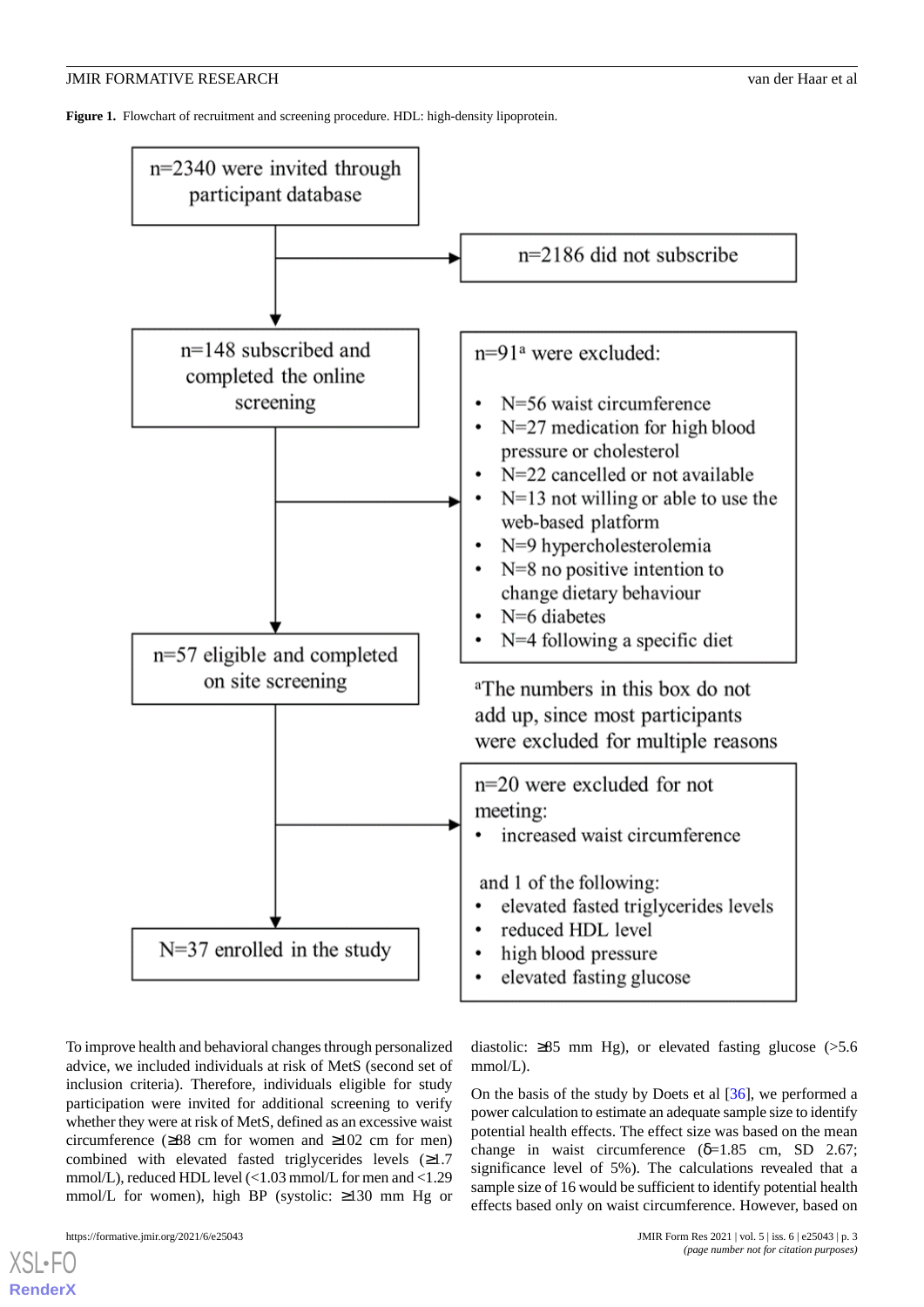<span id="page-2-0"></span>**Figure 1.** Flowchart of recruitment and screening procedure. HDL: high-density lipoprotein.



To improve health and behavioral changes through personalized advice, we included individuals at risk of MetS (second set of inclusion criteria). Therefore, individuals eligible for study participation were invited for additional screening to verify whether they were at risk of MetS, defined as an excessive waist circumference  $(≥88$  cm for women and  $≥102$  cm for men) combined with elevated fasted triglycerides levels (≥1.7 mmol/L), reduced HDL level (<1.03 mmol/L for men and <1.29 mmol/L for women), high BP (systolic: ≥130 mm Hg or

[XSL](http://www.w3.org/Style/XSL)•FO **[RenderX](http://www.renderx.com/)**

diastolic:  $\geq 85$  mm Hg), or elevated fasting glucose ( $> 5.6$ ) mmol/L).

On the basis of the study by Doets et al [\[36](#page-13-6)], we performed a power calculation to estimate an adequate sample size to identify potential health effects. The effect size was based on the mean change in waist circumference  $(\delta=1.85 \text{ cm. SD } 2.67)$ ; significance level of 5%). The calculations revealed that a sample size of 16 would be sufficient to identify potential health effects based only on waist circumference. However, based on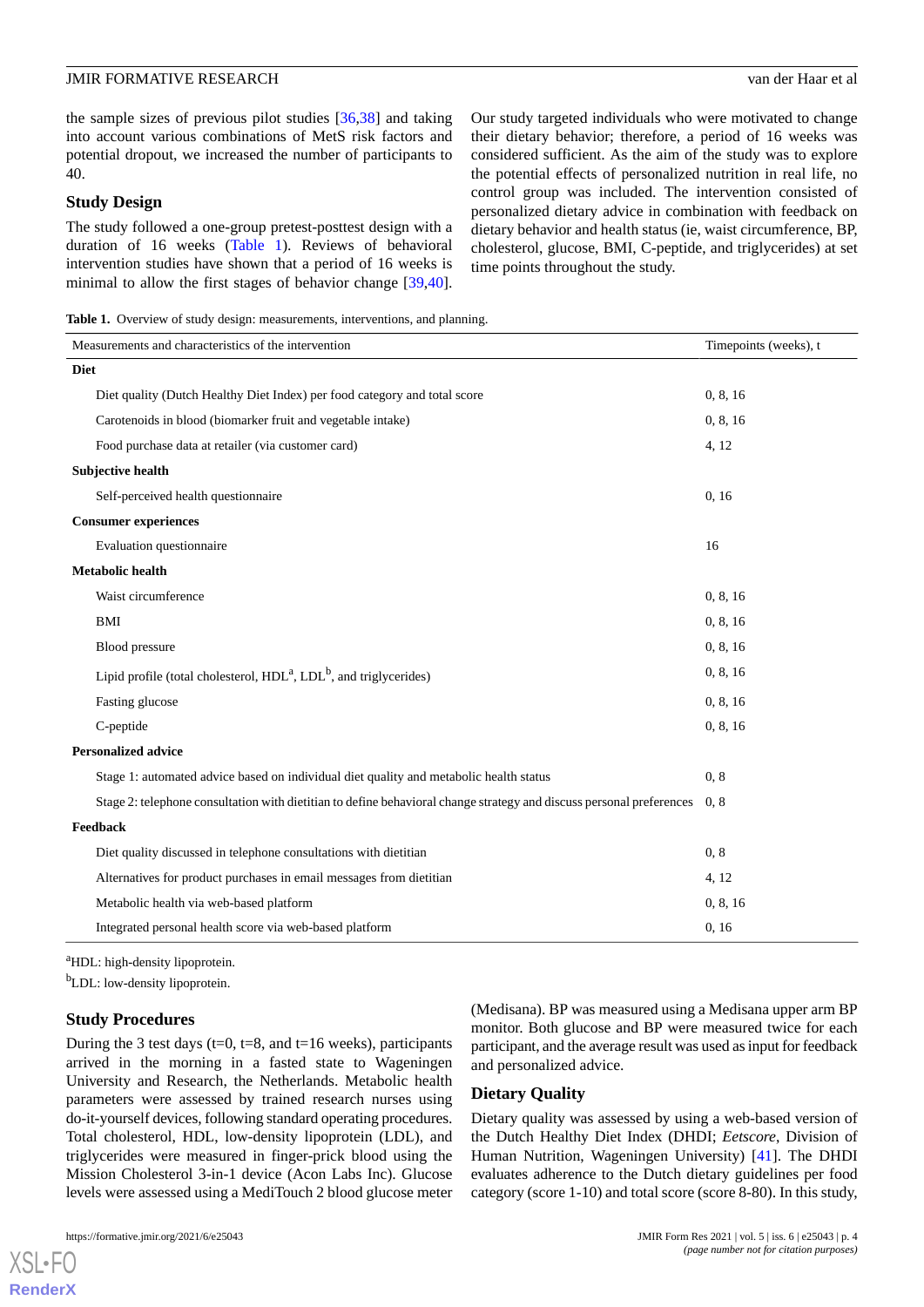the sample sizes of previous pilot studies [\[36](#page-13-6),[38\]](#page-13-8) and taking into account various combinations of MetS risk factors and potential dropout, we increased the number of participants to 40.

#### **Study Design**

The study followed a one-group pretest-posttest design with a duration of 16 weeks [\(Table 1](#page-3-0)). Reviews of behavioral intervention studies have shown that a period of 16 weeks is minimal to allow the first stages of behavior change [\[39](#page-13-9),[40\]](#page-13-10).

Our study targeted individuals who were motivated to change their dietary behavior; therefore, a period of 16 weeks was considered sufficient. As the aim of the study was to explore the potential effects of personalized nutrition in real life, no control group was included. The intervention consisted of personalized dietary advice in combination with feedback on dietary behavior and health status (ie, waist circumference, BP, cholesterol, glucose, BMI, C-peptide, and triglycerides) at set time points throughout the study.

<span id="page-3-0"></span>Table 1. Overview of study design: measurements, interventions, and planning.

| Measurements and characteristics of the intervention                                                                 | Timepoints (weeks), t |
|----------------------------------------------------------------------------------------------------------------------|-----------------------|
| <b>Diet</b>                                                                                                          |                       |
| Diet quality (Dutch Healthy Diet Index) per food category and total score                                            | 0, 8, 16              |
| Carotenoids in blood (biomarker fruit and vegetable intake)                                                          | 0, 8, 16              |
| Food purchase data at retailer (via customer card)                                                                   | 4, 12                 |
| <b>Subjective health</b>                                                                                             |                       |
| Self-perceived health questionnaire                                                                                  | 0, 16                 |
| <b>Consumer experiences</b>                                                                                          |                       |
| Evaluation questionnaire                                                                                             | 16                    |
| <b>Metabolic health</b>                                                                                              |                       |
| Waist circumference                                                                                                  | 0, 8, 16              |
| BMI                                                                                                                  | 0, 8, 16              |
| <b>Blood</b> pressure                                                                                                | 0, 8, 16              |
| Lipid profile (total cholesterol, $HDLa$ , $LDLb$ , and triglycerides)                                               | 0, 8, 16              |
| Fasting glucose                                                                                                      | 0, 8, 16              |
| C-peptide                                                                                                            | 0, 8, 16              |
| <b>Personalized advice</b>                                                                                           |                       |
| Stage 1: automated advice based on individual diet quality and metabolic health status                               | 0, 8                  |
| Stage 2: telephone consultation with dietitian to define behavioral change strategy and discuss personal preferences | 0, 8                  |
| Feedback                                                                                                             |                       |
| Diet quality discussed in telephone consultations with dietitian                                                     | 0, 8                  |
| Alternatives for product purchases in email messages from dietitian                                                  | 4, 12                 |
| Metabolic health via web-based platform                                                                              | 0, 8, 16              |
| Integrated personal health score via web-based platform                                                              | 0, 16                 |

<sup>a</sup>HDL: high-density lipoprotein.

<sup>b</sup>LDL: low-density lipoprotein.

#### **Study Procedures**

During the 3 test days (t=0, t=8, and t=16 weeks), participants arrived in the morning in a fasted state to Wageningen University and Research, the Netherlands. Metabolic health parameters were assessed by trained research nurses using do-it-yourself devices, following standard operating procedures. Total cholesterol, HDL, low-density lipoprotein (LDL), and triglycerides were measured in finger-prick blood using the Mission Cholesterol 3-in-1 device (Acon Labs Inc). Glucose levels were assessed using a MediTouch 2 blood glucose meter

[XSL](http://www.w3.org/Style/XSL)•FO **[RenderX](http://www.renderx.com/)**

(Medisana). BP was measured using a Medisana upper arm BP monitor. Both glucose and BP were measured twice for each participant, and the average result was used as input for feedback and personalized advice.

#### **Dietary Quality**

Dietary quality was assessed by using a web-based version of the Dutch Healthy Diet Index (DHDI; *Eetscore*, Division of Human Nutrition, Wageningen University) [[41\]](#page-13-11). The DHDI evaluates adherence to the Dutch dietary guidelines per food category (score 1-10) and total score (score 8-80). In this study,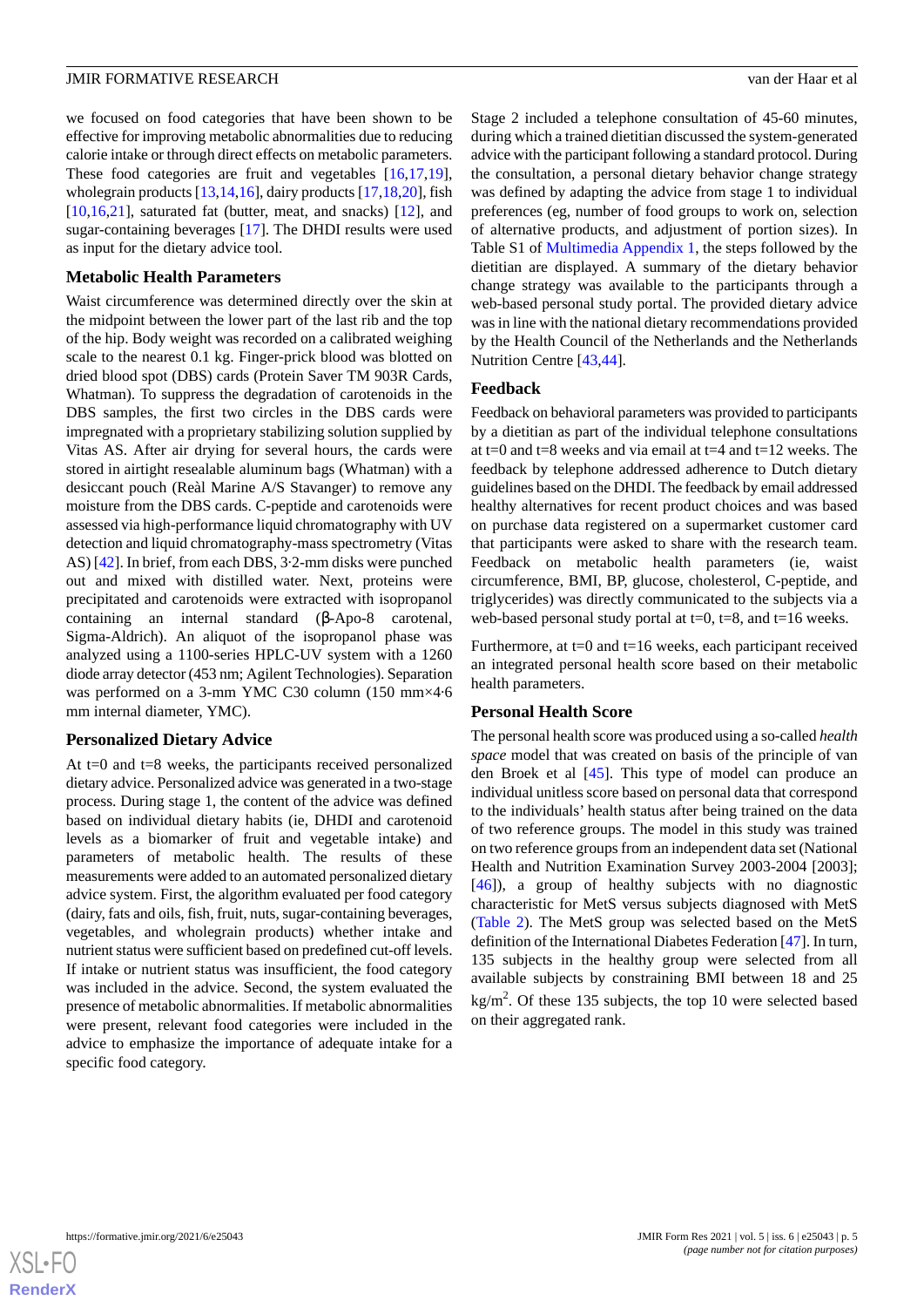we focused on food categories that have been shown to be effective for improving metabolic abnormalities due to reducing calorie intake or through direct effects on metabolic parameters. These food categories are fruit and vegetables  $[16,17,19]$  $[16,17,19]$  $[16,17,19]$  $[16,17,19]$  $[16,17,19]$ , wholegrain products [\[13](#page-12-9),[14,](#page-12-10)[16](#page-12-6)], dairy products [\[17](#page-12-7),[18,](#page-12-11)[20](#page-12-12)], fish  $[10,16,21]$  $[10,16,21]$  $[10,16,21]$  $[10,16,21]$  $[10,16,21]$ , saturated fat (butter, meat, and snacks)  $[12]$  $[12]$ , and sugar-containing beverages [[17\]](#page-12-7). The DHDI results were used as input for the dietary advice tool.

#### **Metabolic Health Parameters**

Waist circumference was determined directly over the skin at the midpoint between the lower part of the last rib and the top of the hip. Body weight was recorded on a calibrated weighing scale to the nearest 0.1 kg. Finger-prick blood was blotted on dried blood spot (DBS) cards (Protein Saver TM 903R Cards, Whatman). To suppress the degradation of carotenoids in the DBS samples, the first two circles in the DBS cards were impregnated with a proprietary stabilizing solution supplied by Vitas AS. After air drying for several hours, the cards were stored in airtight resealable aluminum bags (Whatman) with a desiccant pouch (Reàl Marine A/S Stavanger) to remove any moisture from the DBS cards. C-peptide and carotenoids were assessed via high-performance liquid chromatography with UV detection and liquid chromatography-mass spectrometry (Vitas AS) [[42\]](#page-13-12). In brief, from each DBS, 3·2-mm disks were punched out and mixed with distilled water. Next, proteins were precipitated and carotenoids were extracted with isopropanol containing an internal standard (β-Apo-8 carotenal, Sigma-Aldrich). An aliquot of the isopropanol phase was analyzed using a 1100-series HPLC-UV system with a 1260 diode array detector (453 nm; Agilent Technologies). Separation was performed on a 3-mm YMC C30 column (150 mm×4·6 mm internal diameter, YMC).

#### **Personalized Dietary Advice**

At  $t=0$  and  $t=8$  weeks, the participants received personalized dietary advice. Personalized advice was generated in a two-stage process. During stage 1, the content of the advice was defined based on individual dietary habits (ie, DHDI and carotenoid levels as a biomarker of fruit and vegetable intake) and parameters of metabolic health. The results of these measurements were added to an automated personalized dietary advice system. First, the algorithm evaluated per food category (dairy, fats and oils, fish, fruit, nuts, sugar-containing beverages, vegetables, and wholegrain products) whether intake and nutrient status were sufficient based on predefined cut-off levels. If intake or nutrient status was insufficient, the food category was included in the advice. Second, the system evaluated the presence of metabolic abnormalities. If metabolic abnormalities were present, relevant food categories were included in the advice to emphasize the importance of adequate intake for a specific food category.

Stage 2 included a telephone consultation of 45-60 minutes, during which a trained dietitian discussed the system-generated advice with the participant following a standard protocol. During the consultation, a personal dietary behavior change strategy was defined by adapting the advice from stage 1 to individual preferences (eg, number of food groups to work on, selection of alternative products, and adjustment of portion sizes). In Table S1 of [Multimedia Appendix 1](#page-11-8), the steps followed by the dietitian are displayed. A summary of the dietary behavior change strategy was available to the participants through a web-based personal study portal. The provided dietary advice was in line with the national dietary recommendations provided by the Health Council of the Netherlands and the Netherlands Nutrition Centre [\[43](#page-13-13),[44\]](#page-13-14).

#### **Feedback**

Feedback on behavioral parameters was provided to participants by a dietitian as part of the individual telephone consultations at t=0 and t=8 weeks and via email at t=4 and t=12 weeks. The feedback by telephone addressed adherence to Dutch dietary guidelines based on the DHDI. The feedback by email addressed healthy alternatives for recent product choices and was based on purchase data registered on a supermarket customer card that participants were asked to share with the research team. Feedback on metabolic health parameters (ie, waist circumference, BMI, BP, glucose, cholesterol, C-peptide, and triglycerides) was directly communicated to the subjects via a web-based personal study portal at  $t=0$ ,  $t=8$ , and  $t=16$  weeks.

Furthermore, at t=0 and t=16 weeks, each participant received an integrated personal health score based on their metabolic health parameters.

#### **Personal Health Score**

The personal health score was produced using a so-called *health space* model that was created on basis of the principle of van den Broek et al [[45\]](#page-13-15). This type of model can produce an individual unitless score based on personal data that correspond to the individuals' health status after being trained on the data of two reference groups. The model in this study was trained on two reference groups from an independent data set (National Health and Nutrition Examination Survey 2003-2004 [2003]; [[46\]](#page-13-16)), a group of healthy subjects with no diagnostic characteristic for MetS versus subjects diagnosed with MetS ([Table 2\)](#page-5-0). The MetS group was selected based on the MetS definition of the International Diabetes Federation [\[47](#page-13-17)]. In turn, 135 subjects in the healthy group were selected from all available subjects by constraining BMI between 18 and 25  $\text{kg/m}^2$ . Of these 135 subjects, the top 10 were selected based on their aggregated rank.

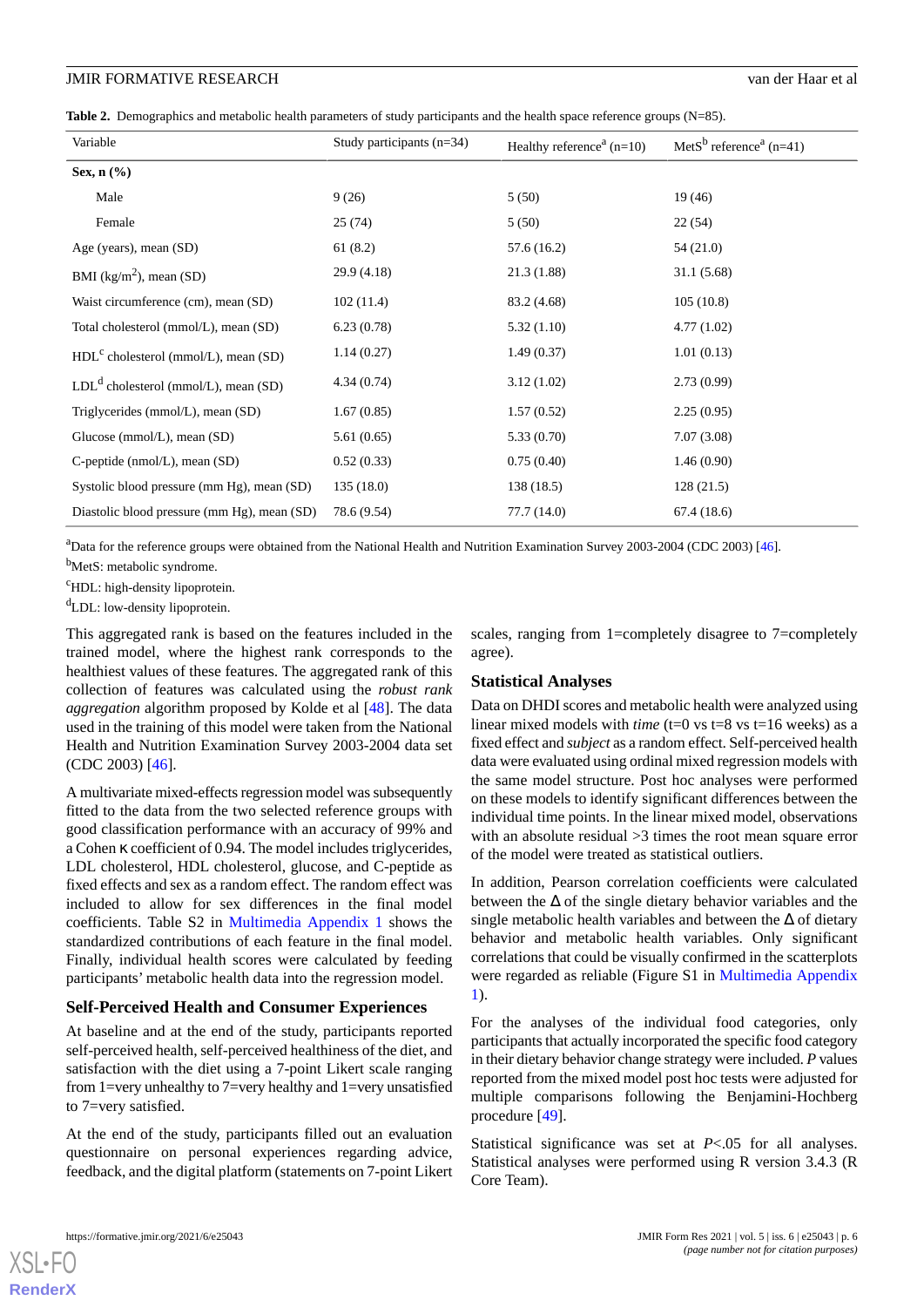<span id="page-5-0"></span>

|  | Table 2. Demographics and metabolic health parameters of study participants and the health space reference groups (N=85). |  |  |  |  |  |  |  |  |
|--|---------------------------------------------------------------------------------------------------------------------------|--|--|--|--|--|--|--|--|
|--|---------------------------------------------------------------------------------------------------------------------------|--|--|--|--|--|--|--|--|

| Variable                                    | Study participants $(n=34)$ | Healthy reference <sup><math>a</math></sup> (n=10) | Met $S^b$ reference <sup>a</sup> (n=41) |
|---------------------------------------------|-----------------------------|----------------------------------------------------|-----------------------------------------|
| Sex, n (%)                                  |                             |                                                    |                                         |
| Male                                        | 9(26)                       | 5(50)                                              | 19(46)                                  |
| Female                                      | 25(74)                      | 5(50)                                              | 22(54)                                  |
| Age (years), mean (SD)                      | 61(8.2)                     | 57.6 (16.2)                                        | 54 (21.0)                               |
| BMI ( $\text{kg/m}^2$ ), mean (SD)          | 29.9(4.18)                  | 21.3(1.88)                                         | 31.1(5.68)                              |
| Waist circumference (cm), mean (SD)         | 102(11.4)                   | 83.2 (4.68)                                        | 105(10.8)                               |
| Total cholesterol (mmol/L), mean (SD)       | 6.23(0.78)                  | 5.32(1.10)                                         | 4.77(1.02)                              |
| $HDLc$ cholesterol (mmol/L), mean (SD)      | 1.14(0.27)                  | 1.49(0.37)                                         | 1.01(0.13)                              |
| $LDLd$ cholesterol (mmol/L), mean (SD)      | 4.34(0.74)                  | 3.12(1.02)                                         | 2.73(0.99)                              |
| Triglycerides (mmol/L), mean (SD)           | 1.67(0.85)                  | 1.57(0.52)                                         | 2.25(0.95)                              |
| Glucose (mmol/L), mean (SD)                 | 5.61(0.65)                  | 5.33(0.70)                                         | 7.07(3.08)                              |
| C-peptide ( $nmol/L$ ), mean (SD)           | 0.52(0.33)                  | 0.75(0.40)                                         | 1.46(0.90)                              |
| Systolic blood pressure (mm Hg), mean (SD)  | 135(18.0)                   | 138 (18.5)                                         | 128(21.5)                               |
| Diastolic blood pressure (mm Hg), mean (SD) | 78.6 (9.54)                 | 77.7 (14.0)                                        | 67.4(18.6)                              |

<sup>a</sup>Data for the reference groups were obtained from the National Health and Nutrition Examination Survey 2003-2004 (CDC 2003) [\[46\]](#page-13-16). <sup>b</sup>MetS: metabolic syndrome.

<sup>c</sup>HDL: high-density lipoprotein.

<sup>d</sup>LDL: low-density lipoprotein.

This aggregated rank is based on the features included in the trained model, where the highest rank corresponds to the healthiest values of these features. The aggregated rank of this collection of features was calculated using the *robust rank aggregation* algorithm proposed by Kolde et al [[48\]](#page-13-18). The data used in the training of this model were taken from the National Health and Nutrition Examination Survey 2003-2004 data set (CDC 2003) [\[46](#page-13-16)].

A multivariate mixed-effects regression model was subsequently fitted to the data from the two selected reference groups with good classification performance with an accuracy of 99% and a Cohen κ coefficient of 0.94. The model includes triglycerides, LDL cholesterol, HDL cholesterol, glucose, and C-peptide as fixed effects and sex as a random effect. The random effect was included to allow for sex differences in the final model coefficients. Table S2 in [Multimedia Appendix 1](#page-11-8) shows the standardized contributions of each feature in the final model. Finally, individual health scores were calculated by feeding participants' metabolic health data into the regression model.

#### **Self-Perceived Health and Consumer Experiences**

At baseline and at the end of the study, participants reported self-perceived health, self-perceived healthiness of the diet, and satisfaction with the diet using a 7-point Likert scale ranging from 1=very unhealthy to 7=very healthy and 1=very unsatisfied to 7=very satisfied.

At the end of the study, participants filled out an evaluation questionnaire on personal experiences regarding advice, feedback, and the digital platform (statements on 7-point Likert scales, ranging from 1=completely disagree to 7=completely agree).

#### **Statistical Analyses**

Data on DHDI scores and metabolic health were analyzed using linear mixed models with *time* (t=0 vs t=8 vs t=16 weeks) as a fixed effect and *subject* as a random effect. Self-perceived health data were evaluated using ordinal mixed regression models with the same model structure. Post hoc analyses were performed on these models to identify significant differences between the individual time points. In the linear mixed model, observations with an absolute residual  $>3$  times the root mean square error of the model were treated as statistical outliers.

In addition, Pearson correlation coefficients were calculated between the  $\Delta$  of the single dietary behavior variables and the single metabolic health variables and between the  $\Delta$  of dietary behavior and metabolic health variables. Only significant correlations that could be visually confirmed in the scatterplots were regarded as reliable (Figure S1 in [Multimedia Appendix](#page-11-8) [1\)](#page-11-8).

For the analyses of the individual food categories, only participants that actually incorporated the specific food category in their dietary behavior change strategy were included. *P* values reported from the mixed model post hoc tests were adjusted for multiple comparisons following the Benjamini-Hochberg procedure [\[49](#page-13-19)].

Statistical significance was set at *P*<.05 for all analyses. Statistical analyses were performed using R version 3.4.3 (R Core Team).

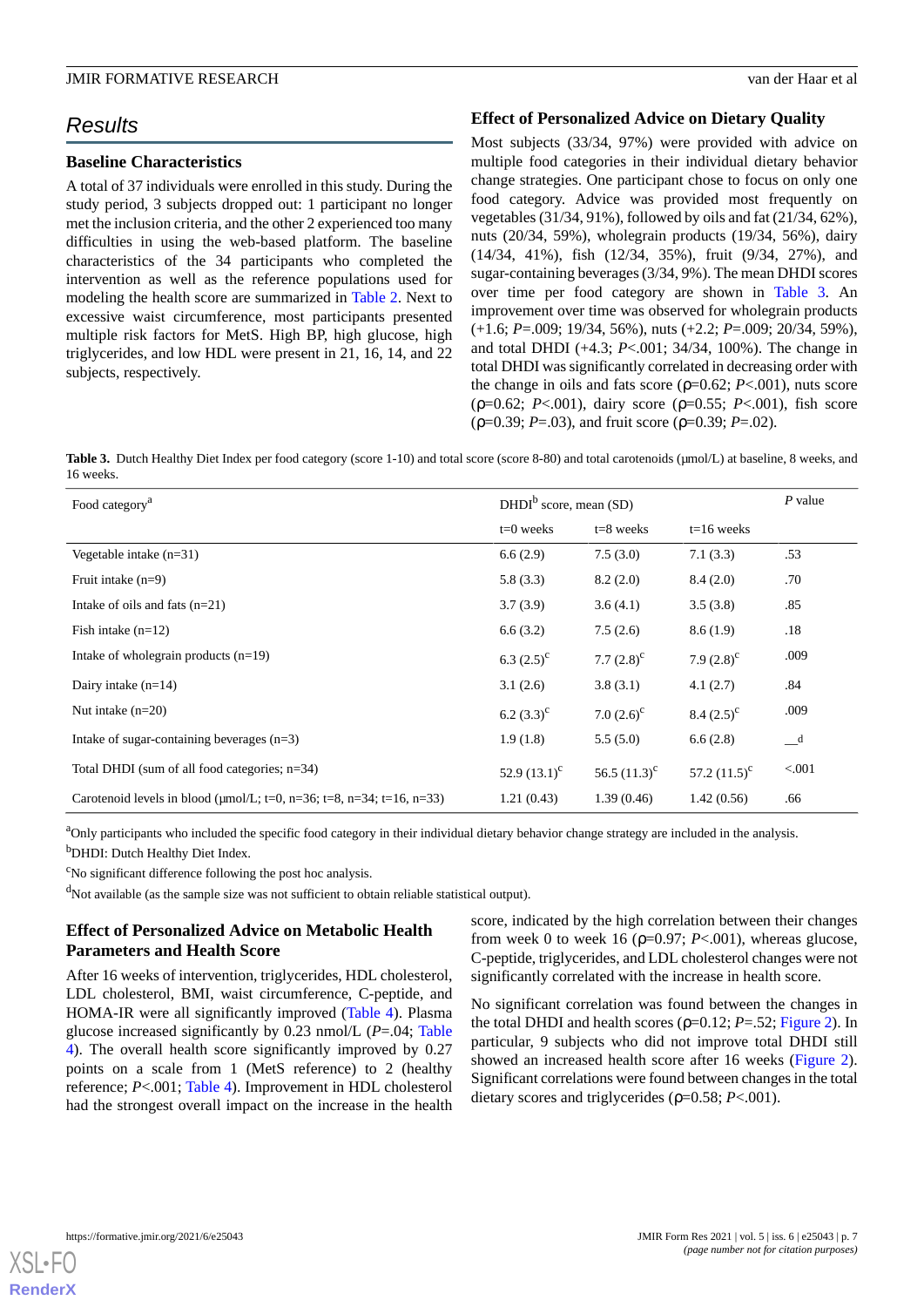# *Results*

#### **Baseline Characteristics**

A total of 37 individuals were enrolled in this study. During the study period, 3 subjects dropped out: 1 participant no longer met the inclusion criteria, and the other 2 experienced too many difficulties in using the web-based platform. The baseline characteristics of the 34 participants who completed the intervention as well as the reference populations used for modeling the health score are summarized in [Table 2](#page-5-0). Next to excessive waist circumference, most participants presented multiple risk factors for MetS. High BP, high glucose, high triglycerides, and low HDL were present in 21, 16, 14, and 22 subjects, respectively.

#### **Effect of Personalized Advice on Dietary Quality**

Most subjects (33/34, 97%) were provided with advice on multiple food categories in their individual dietary behavior change strategies. One participant chose to focus on only one food category. Advice was provided most frequently on vegetables (31/34, 91%), followed by oils and fat (21/34, 62%), nuts (20/34, 59%), wholegrain products (19/34, 56%), dairy (14/34, 41%), fish (12/34, 35%), fruit (9/34, 27%), and sugar-containing beverages (3/34, 9%). The mean DHDI scores over time per food category are shown in [Table 3.](#page-6-0) An improvement over time was observed for wholegrain products (+1.6; *P*=.009; 19/34, 56%), nuts (+2.2; *P*=.009; 20/34, 59%), and total DHDI (+4.3; *P*<.001; 34/34, 100%). The change in total DHDI was significantly correlated in decreasing order with the change in oils and fats score (ρ=0.62; *P*<.001), nuts score (ρ=0.62; *P*<.001), dairy score (ρ=0.55; *P*<.001), fish score (ρ=0.39; *P*=.03), and fruit score (ρ=0.39; *P*=.02).

<span id="page-6-0"></span>Table 3. Dutch Healthy Diet Index per food category (score 1-10) and total score (score 8-80) and total carotenoids (µmol/L) at baseline, 8 weeks, and 16 weeks.

| Food category <sup>a</sup>                                                  | DHDI <sup>b</sup> score, mean (SD) |                   |                   | $P$ value                  |
|-----------------------------------------------------------------------------|------------------------------------|-------------------|-------------------|----------------------------|
|                                                                             | $t=0$ weeks                        | $t=8$ weeks       | $t=16$ weeks      |                            |
| Vegetable intake $(n=31)$                                                   | 6.6(2.9)                           | 7.5(3.0)          | 7.1(3.3)          | .53                        |
| Fruit intake $(n=9)$                                                        | 5.8(3.3)                           | 8.2(2.0)          | 8.4(2.0)          | .70                        |
| Intake of oils and fats $(n=21)$                                            | 3.7(3.9)                           | 3.6(4.1)          | 3.5(3.8)          | .85                        |
| Fish intake $(n=12)$                                                        | 6.6(3.2)                           | 7.5(2.6)          | 8.6(1.9)          | .18                        |
| Intake of whole grain products $(n=19)$                                     | 6.3 $(2.5)^{c}$                    | 7.7 $(2.8)^c$     | 7.9 $(2.8)^c$     | .009                       |
| Dairy intake $(n=14)$                                                       | 3.1(2.6)                           | 3.8(3.1)          | 4.1(2.7)          | .84                        |
| Nut intake $(n=20)$                                                         | 6.2 $(3.3)^c$                      | 7.0 $(2.6)^c$     | $8.4 (2.5)^c$     | .009                       |
| In take of sugar-containing beverages $(n=3)$                               | 1.9(1.8)                           | 5.5(5.0)          | 6.6(2.8)          | $\overline{\phantom{a}}^d$ |
| Total DHDI (sum of all food categories; n=34)                               | 52.9 $(13.1)^{c}$                  | 56.5 $(11.3)^{c}$ | 57.2 $(11.5)^{c}$ | < 0.001                    |
| Carotenoid levels in blood ( $\mu$ mol/L; t=0, n=36; t=8, n=34; t=16, n=33) | 1.21(0.43)                         | 1.39(0.46)        | 1.42(0.56)        | .66                        |

<sup>a</sup>Only participants who included the specific food category in their individual dietary behavior change strategy are included in the analysis. <sup>b</sup>DHDI: Dutch Healthy Diet Index.

<sup>c</sup>No significant difference following the post hoc analysis.

 $\rm<sup>d</sup>Not available$  (as the sample size was not sufficient to obtain reliable statistical output).

# **Effect of Personalized Advice on Metabolic Health Parameters and Health Score**

After 16 weeks of intervention, triglycerides, HDL cholesterol, LDL cholesterol, BMI, waist circumference, C-peptide, and HOMA-IR were all significantly improved [\(Table 4\)](#page-7-0). Plasma glucose increased significantly by 0.23 nmol/L (*P*=.04; [Table](#page-7-0) [4\)](#page-7-0). The overall health score significantly improved by 0.27 points on a scale from 1 (MetS reference) to 2 (healthy reference; *P*<.001; [Table 4](#page-7-0)). Improvement in HDL cholesterol had the strongest overall impact on the increase in the health

score, indicated by the high correlation between their changes from week 0 to week 16 ( $p=0.97$ ; *P*<.001), whereas glucose, C-peptide, triglycerides, and LDL cholesterol changes were not significantly correlated with the increase in health score.

No significant correlation was found between the changes in the total DHDI and health scores ( $\rho$ =0.12; *P*=.52; [Figure 2](#page-8-0)). In particular, 9 subjects who did not improve total DHDI still showed an increased health score after 16 weeks [\(Figure 2\)](#page-8-0). Significant correlations were found between changes in the total dietary scores and triglycerides (ρ=0.58; *P*<.001).

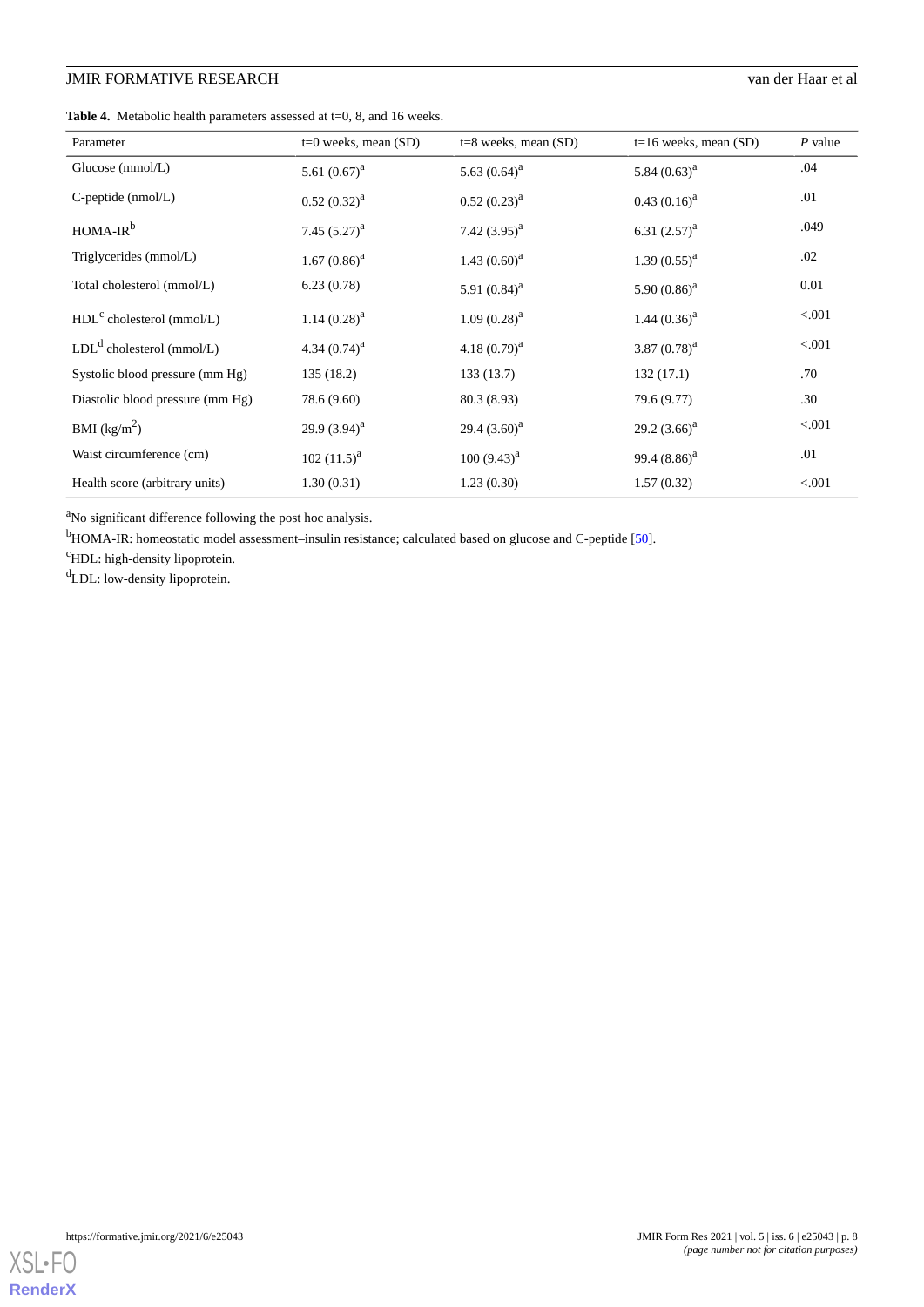<span id="page-7-0"></span>Table 4. Metabolic health parameters assessed at t=0, 8, and 16 weeks.

| Parameter                        | $t=0$ weeks, mean $(SD)$ | $t=8$ weeks, mean $(SD)$ | $t=16$ weeks, mean (SD) | $P$ value |
|----------------------------------|--------------------------|--------------------------|-------------------------|-----------|
| Glucose $(mmol/L)$               | 5.61 $(0.67)^a$          | 5.63 $(0.64)^a$          | 5.84 $(0.63)^a$         | .04       |
| $C$ -peptide (nmol/L)            | $0.52(0.32)^{a}$         | $0.52 (0.23)^{a}$        | $0.43(0.16)^{a}$        | .01       |
| $HOMA-IRb$                       | 7.45 $(5.27)^a$          | 7.42 $(3.95)^{a}$        | 6.31 $(2.57)^a$         | .049      |
| Triglycerides (mmol/L)           | $1.67(0.86)^a$           | 1.43 $(0.60)^a$          | $1.39(0.55)^{a}$        | .02       |
| Total cholesterol (mmol/L)       | 6.23(0.78)               | 5.91 $(0.84)^a$          | 5.90 $(0.86)^a$         | 0.01      |
| $HDLc$ cholesterol (mmol/L)      | $1.14(0.28)^{a}$         | $1.09(0.28)^{a}$         | 1.44 $(0.36)^a$         | < 0.001   |
| $LDLd$ cholesterol (mmol/L)      | 4.34 $(0.74)^a$          | 4.18 $(0.79)^a$          | 3.87 $(0.78)^a$         | < 0.001   |
| Systolic blood pressure (mm Hg)  | 135(18.2)                | 133(13.7)                | 132(17.1)               | .70       |
| Diastolic blood pressure (mm Hg) | 78.6 (9.60)              | 80.3 (8.93)              | 79.6 (9.77)             | .30       |
| BMI $(kg/m^2)$                   | 29.9 $(3.94)^a$          | 29.4 $(3.60)^a$          | 29.2 $(3.66)^a$         | < 0.001   |
| Waist circumference (cm)         | $102 (11.5)^{a}$         | $100 (9.43)^{a}$         | 99.4 $(8.86)^a$         | .01       |
| Health score (arbitrary units)   | 1.30(0.31)               | 1.23(0.30)               | 1.57(0.32)              | < 0.001   |

<sup>a</sup>No significant difference following the post hoc analysis.

<sup>b</sup>HOMA-IR: homeostatic model assessment–insulin resistance; calculated based on glucose and C-peptide [\[50\]](#page-13-20).

<sup>c</sup>HDL: high-density lipoprotein.

<sup>d</sup>LDL: low-density lipoprotein.

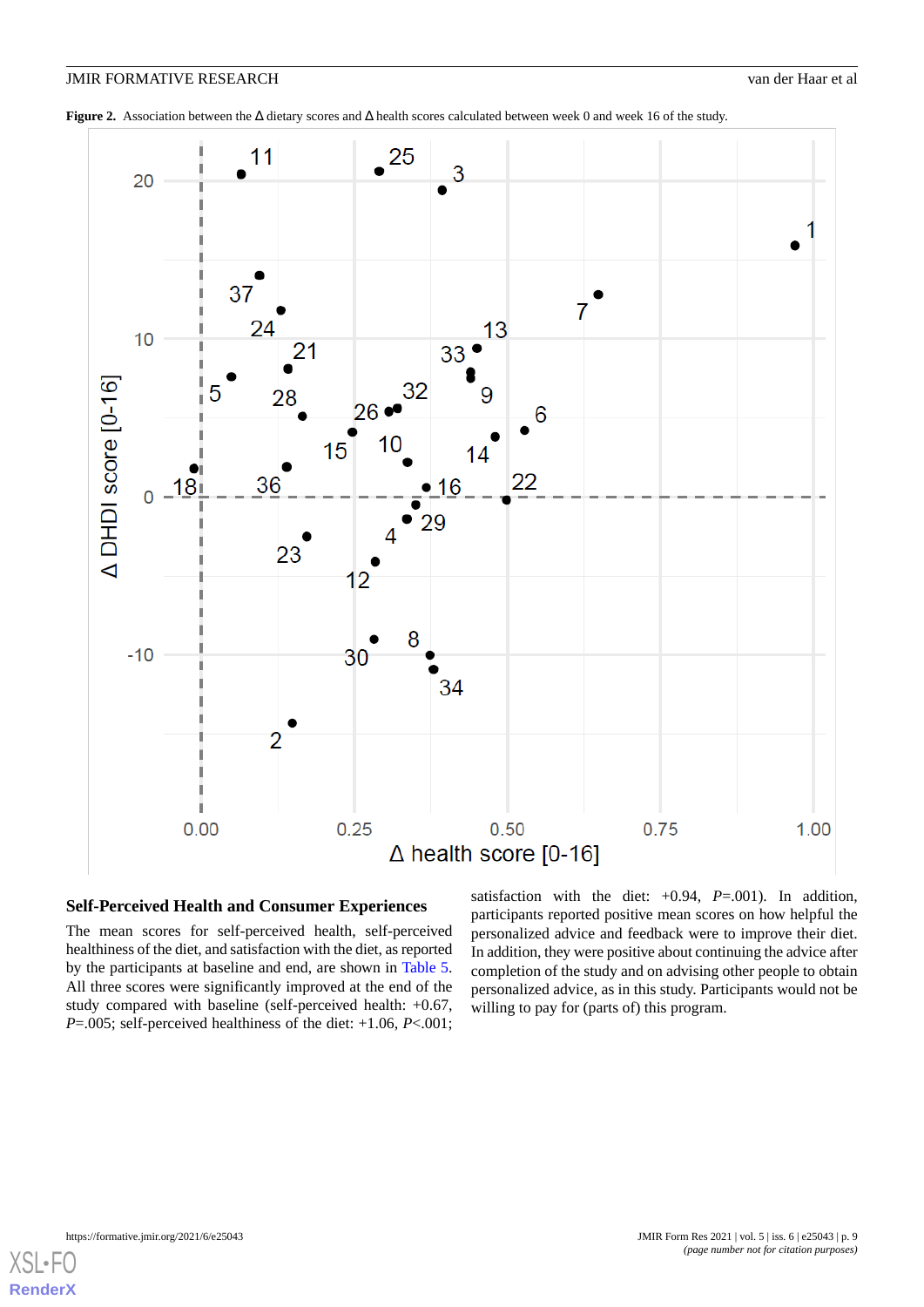<span id="page-8-0"></span>**Figure 2.** Association between the Δ dietary scores and Δ health scores calculated between week 0 and week 16 of the study.



# **Self-Perceived Health and Consumer Experiences**

The mean scores for self-perceived health, self-perceived healthiness of the diet, and satisfaction with the diet, as reported by the participants at baseline and end, are shown in [Table 5](#page-9-0). All three scores were significantly improved at the end of the study compared with baseline (self-perceived health: +0.67, *P*=.005; self-perceived healthiness of the diet: +1.06, *P*<.001;

satisfaction with the diet:  $+0.94$ ,  $P=.001$ ). In addition, participants reported positive mean scores on how helpful the personalized advice and feedback were to improve their diet. In addition, they were positive about continuing the advice after completion of the study and on advising other people to obtain personalized advice, as in this study. Participants would not be willing to pay for (parts of) this program.

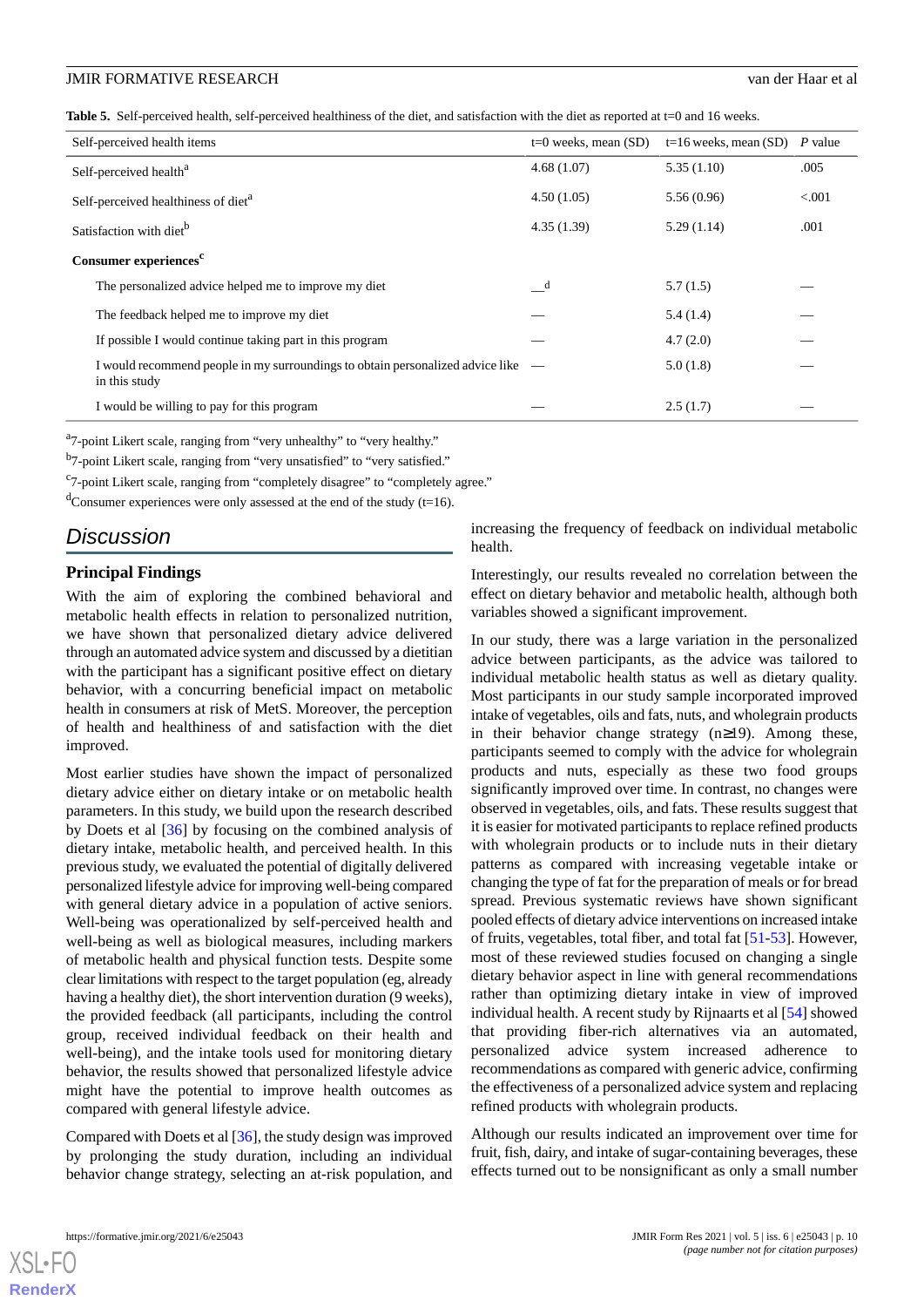<span id="page-9-0"></span>Table 5. Self-perceived health, self-perceived healthiness of the diet, and satisfaction with the diet as reported at t=0 and 16 weeks.

| Self-perceived health items                                                                     | $t=0$ weeks, mean $(SD)$ | $t=16$ weeks, mean (SD) P value |         |
|-------------------------------------------------------------------------------------------------|--------------------------|---------------------------------|---------|
| Self-perceived health <sup>a</sup>                                                              | 4.68(1.07)               | 5.35(1.10)                      | .005    |
| Self-perceived healthiness of diet <sup>a</sup>                                                 | 4.50(1.05)               | 5.56(0.96)                      | < 0.001 |
| Satisfaction with diet <sup>b</sup>                                                             | 4.35(1.39)               | 5.29(1.14)                      | .001    |
| Consumer experiences <sup>c</sup>                                                               |                          |                                 |         |
| The personalized advice helped me to improve my diet                                            | $\mathbf d$              | 5.7(1.5)                        |         |
| The feedback helped me to improve my diet                                                       |                          | 5.4(1.4)                        |         |
| If possible I would continue taking part in this program                                        |                          | 4.7(2.0)                        |         |
| I would recommend people in my surroundings to obtain personalized advice like<br>in this study |                          | 5.0(1.8)                        |         |
| I would be willing to pay for this program                                                      |                          | 2.5(1.7)                        |         |

<sup>a</sup>7-point Likert scale, ranging from "very unhealthy" to "very healthy."

<sup>b</sup>7-point Likert scale, ranging from "very unsatisfied" to "very satisfied."

<sup>c</sup>7-point Likert scale, ranging from "completely disagree" to "completely agree."

 $\rm{d}$ Consumer experiences were only assessed at the end of the study (t=16).

# *Discussion*

#### **Principal Findings**

With the aim of exploring the combined behavioral and metabolic health effects in relation to personalized nutrition, we have shown that personalized dietary advice delivered through an automated advice system and discussed by a dietitian with the participant has a significant positive effect on dietary behavior, with a concurring beneficial impact on metabolic health in consumers at risk of MetS. Moreover, the perception of health and healthiness of and satisfaction with the diet improved.

Most earlier studies have shown the impact of personalized dietary advice either on dietary intake or on metabolic health parameters. In this study, we build upon the research described by Doets et al [[36\]](#page-13-6) by focusing on the combined analysis of dietary intake, metabolic health, and perceived health. In this previous study, we evaluated the potential of digitally delivered personalized lifestyle advice for improving well-being compared with general dietary advice in a population of active seniors. Well-being was operationalized by self-perceived health and well-being as well as biological measures, including markers of metabolic health and physical function tests. Despite some clear limitations with respect to the target population (eg, already having a healthy diet), the short intervention duration (9 weeks), the provided feedback (all participants, including the control group, received individual feedback on their health and well-being), and the intake tools used for monitoring dietary behavior, the results showed that personalized lifestyle advice might have the potential to improve health outcomes as compared with general lifestyle advice.

Compared with Doets et al [[36\]](#page-13-6), the study design was improved by prolonging the study duration, including an individual behavior change strategy, selecting an at-risk population, and

increasing the frequency of feedback on individual metabolic health.

Interestingly, our results revealed no correlation between the effect on dietary behavior and metabolic health, although both variables showed a significant improvement.

In our study, there was a large variation in the personalized advice between participants, as the advice was tailored to individual metabolic health status as well as dietary quality. Most participants in our study sample incorporated improved intake of vegetables, oils and fats, nuts, and wholegrain products in their behavior change strategy (n≥19). Among these, participants seemed to comply with the advice for wholegrain products and nuts, especially as these two food groups significantly improved over time. In contrast, no changes were observed in vegetables, oils, and fats. These results suggest that it is easier for motivated participants to replace refined products with wholegrain products or to include nuts in their dietary patterns as compared with increasing vegetable intake or changing the type of fat for the preparation of meals or for bread spread. Previous systematic reviews have shown significant pooled effects of dietary advice interventions on increased intake of fruits, vegetables, total fiber, and total fat [\[51](#page-13-21)[-53](#page-14-0)]. However, most of these reviewed studies focused on changing a single dietary behavior aspect in line with general recommendations rather than optimizing dietary intake in view of improved individual health. A recent study by Rijnaarts et al [\[54](#page-14-1)] showed that providing fiber-rich alternatives via an automated, personalized advice system increased adherence to recommendations as compared with generic advice, confirming the effectiveness of a personalized advice system and replacing refined products with wholegrain products.

Although our results indicated an improvement over time for fruit, fish, dairy, and intake of sugar-containing beverages, these effects turned out to be nonsignificant as only a small number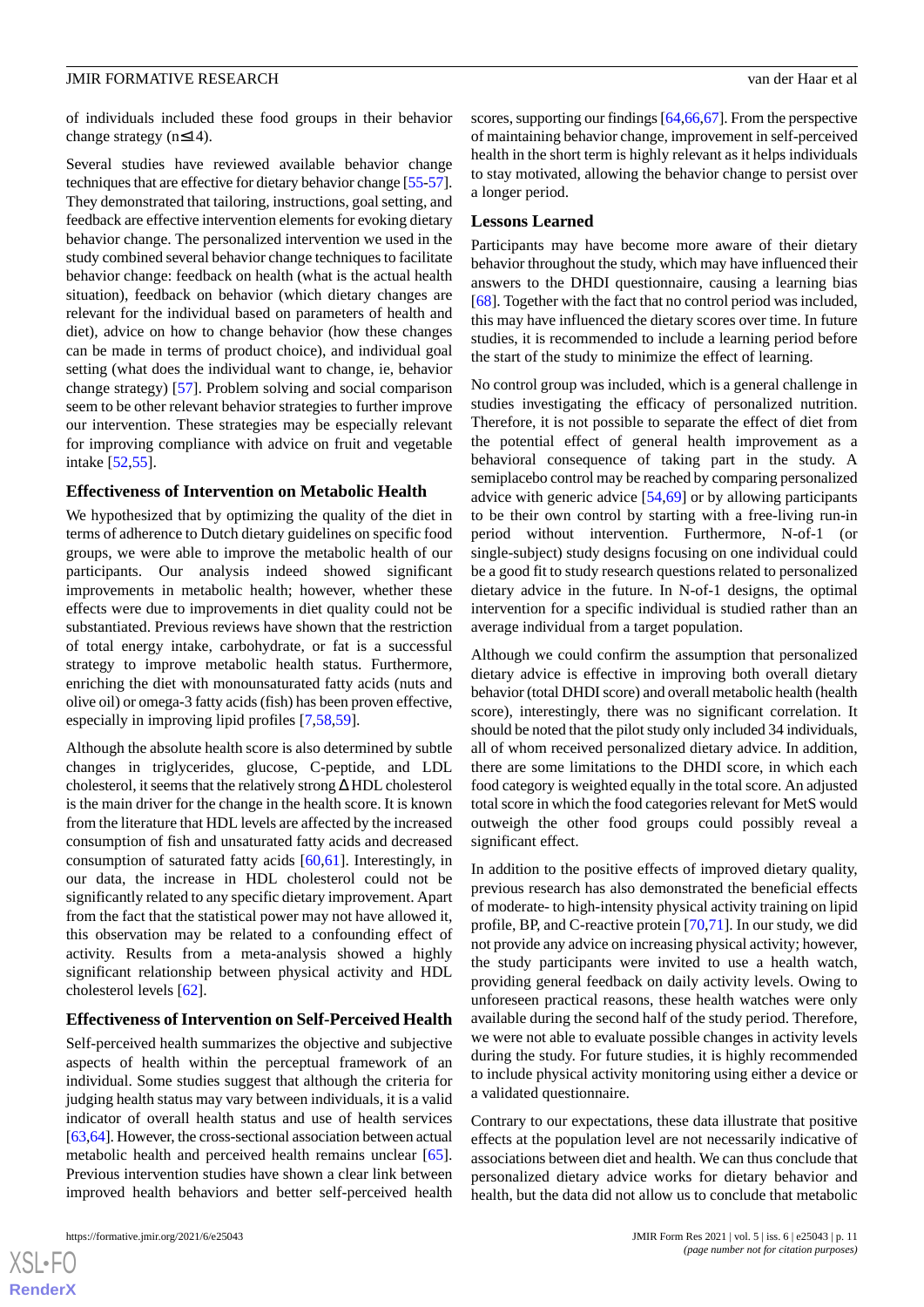of individuals included these food groups in their behavior change strategy (n≤14).

Several studies have reviewed available behavior change techniques that are effective for dietary behavior change [\[55](#page-14-2)[-57\]](#page-14-3). They demonstrated that tailoring, instructions, goal setting, and feedback are effective intervention elements for evoking dietary behavior change. The personalized intervention we used in the study combined several behavior change techniques to facilitate behavior change: feedback on health (what is the actual health situation), feedback on behavior (which dietary changes are relevant for the individual based on parameters of health and diet), advice on how to change behavior (how these changes can be made in terms of product choice), and individual goal setting (what does the individual want to change, ie, behavior change strategy) [\[57](#page-14-3)]. Problem solving and social comparison seem to be other relevant behavior strategies to further improve our intervention. These strategies may be especially relevant for improving compliance with advice on fruit and vegetable intake [[52,](#page-13-22)[55](#page-14-2)].

#### **Effectiveness of Intervention on Metabolic Health**

We hypothesized that by optimizing the quality of the diet in terms of adherence to Dutch dietary guidelines on specific food groups, we were able to improve the metabolic health of our participants. Our analysis indeed showed significant improvements in metabolic health; however, whether these effects were due to improvements in diet quality could not be substantiated. Previous reviews have shown that the restriction of total energy intake, carbohydrate, or fat is a successful strategy to improve metabolic health status. Furthermore, enriching the diet with monounsaturated fatty acids (nuts and olive oil) or omega-3 fatty acids (fish) has been proven effective, especially in improving lipid profiles [\[7](#page-11-6),[58](#page-14-4)[,59](#page-14-5)].

Although the absolute health score is also determined by subtle changes in triglycerides, glucose, C-peptide, and LDL cholesterol, it seems that the relatively strong Δ HDL cholesterol is the main driver for the change in the health score. It is known from the literature that HDL levels are affected by the increased consumption of fish and unsaturated fatty acids and decreased consumption of saturated fatty acids [[60,](#page-14-6)[61](#page-14-7)]. Interestingly, in our data, the increase in HDL cholesterol could not be significantly related to any specific dietary improvement. Apart from the fact that the statistical power may not have allowed it, this observation may be related to a confounding effect of activity. Results from a meta-analysis showed a highly significant relationship between physical activity and HDL cholesterol levels [[62\]](#page-14-8).

#### **Effectiveness of Intervention on Self-Perceived Health**

Self-perceived health summarizes the objective and subjective aspects of health within the perceptual framework of an individual. Some studies suggest that although the criteria for judging health status may vary between individuals, it is a valid indicator of overall health status and use of health services [[63,](#page-14-9)[64\]](#page-14-10). However, the cross-sectional association between actual metabolic health and perceived health remains unclear [[65\]](#page-14-11). Previous intervention studies have shown a clear link between improved health behaviors and better self-perceived health

scores, supporting our findings [[64](#page-14-10)[,66](#page-14-12),[67](#page-14-13)]. From the perspective of maintaining behavior change, improvement in self-perceived health in the short term is highly relevant as it helps individuals to stay motivated, allowing the behavior change to persist over a longer period.

#### **Lessons Learned**

Participants may have become more aware of their dietary behavior throughout the study, which may have influenced their answers to the DHDI questionnaire, causing a learning bias [[68\]](#page-14-14). Together with the fact that no control period was included, this may have influenced the dietary scores over time. In future studies, it is recommended to include a learning period before the start of the study to minimize the effect of learning.

No control group was included, which is a general challenge in studies investigating the efficacy of personalized nutrition. Therefore, it is not possible to separate the effect of diet from the potential effect of general health improvement as a behavioral consequence of taking part in the study. A semiplacebo control may be reached by comparing personalized advice with generic advice [[54](#page-14-1)[,69](#page-14-15)] or by allowing participants to be their own control by starting with a free-living run-in period without intervention. Furthermore, N-of-1 (or single-subject) study designs focusing on one individual could be a good fit to study research questions related to personalized dietary advice in the future. In N-of-1 designs, the optimal intervention for a specific individual is studied rather than an average individual from a target population.

Although we could confirm the assumption that personalized dietary advice is effective in improving both overall dietary behavior (total DHDI score) and overall metabolic health (health score), interestingly, there was no significant correlation. It should be noted that the pilot study only included 34 individuals, all of whom received personalized dietary advice. In addition, there are some limitations to the DHDI score, in which each food category is weighted equally in the total score. An adjusted total score in which the food categories relevant for MetS would outweigh the other food groups could possibly reveal a significant effect.

In addition to the positive effects of improved dietary quality, previous research has also demonstrated the beneficial effects of moderate- to high-intensity physical activity training on lipid profile, BP, and C-reactive protein [\[70](#page-14-16),[71\]](#page-14-17). In our study, we did not provide any advice on increasing physical activity; however, the study participants were invited to use a health watch, providing general feedback on daily activity levels. Owing to unforeseen practical reasons, these health watches were only available during the second half of the study period. Therefore, we were not able to evaluate possible changes in activity levels during the study. For future studies, it is highly recommended to include physical activity monitoring using either a device or a validated questionnaire.

Contrary to our expectations, these data illustrate that positive effects at the population level are not necessarily indicative of associations between diet and health. We can thus conclude that personalized dietary advice works for dietary behavior and health, but the data did not allow us to conclude that metabolic

```
XS\cdotFC
RenderX
```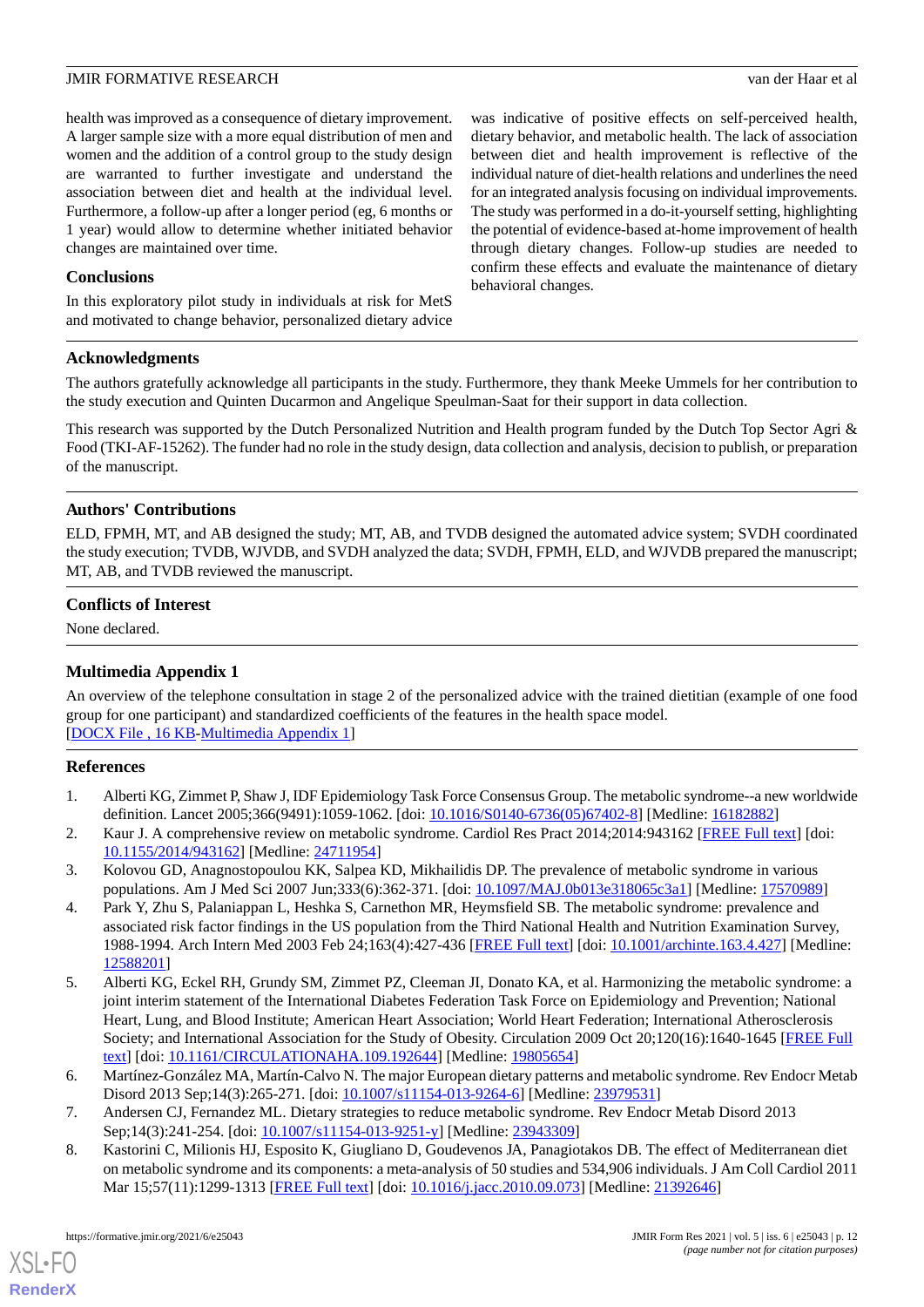health was improved as a consequence of dietary improvement. A larger sample size with a more equal distribution of men and women and the addition of a control group to the study design are warranted to further investigate and understand the association between diet and health at the individual level. Furthermore, a follow-up after a longer period (eg, 6 months or 1 year) would allow to determine whether initiated behavior changes are maintained over time.

#### **Conclusions**

In this exploratory pilot study in individuals at risk for MetS and motivated to change behavior, personalized dietary advice was indicative of positive effects on self-perceived health, dietary behavior, and metabolic health. The lack of association between diet and health improvement is reflective of the individual nature of diet-health relations and underlines the need for an integrated analysis focusing on individual improvements. The study was performed in a do-it-yourself setting, highlighting the potential of evidence-based at-home improvement of health through dietary changes. Follow-up studies are needed to confirm these effects and evaluate the maintenance of dietary behavioral changes.

#### **Acknowledgments**

The authors gratefully acknowledge all participants in the study. Furthermore, they thank Meeke Ummels for her contribution to the study execution and Quinten Ducarmon and Angelique Speulman-Saat for their support in data collection.

This research was supported by the Dutch Personalized Nutrition and Health program funded by the Dutch Top Sector Agri & Food (TKI-AF-15262). The funder had no role in the study design, data collection and analysis, decision to publish, or preparation of the manuscript.

#### **Authors' Contributions**

ELD, FPMH, MT, and AB designed the study; MT, AB, and TVDB designed the automated advice system; SVDH coordinated the study execution; TVDB, WJVDB, and SVDH analyzed the data; SVDH, FPMH, ELD, and WJVDB prepared the manuscript; MT, AB, and TVDB reviewed the manuscript.

#### <span id="page-11-8"></span>**Conflicts of Interest**

None declared.

#### **Multimedia Appendix 1**

<span id="page-11-0"></span>An overview of the telephone consultation in stage 2 of the personalized advice with the trained dietitian (example of one food group for one participant) and standardized coefficients of the features in the health space model. [[DOCX File , 16 KB](https://jmir.org/api/download?alt_name=formative_v5i6e25043_app1.docx&filename=e79d047876d0bd387d1f31cc09fbf270.docx)-[Multimedia Appendix 1\]](https://jmir.org/api/download?alt_name=formative_v5i6e25043_app1.docx&filename=e79d047876d0bd387d1f31cc09fbf270.docx)

#### <span id="page-11-1"></span>**References**

- <span id="page-11-2"></span>1. Alberti KG, Zimmet P, Shaw J, IDF Epidemiology Task Force Consensus Group. The metabolic syndrome--a new worldwide definition. Lancet 2005;366(9491):1059-1062. [doi: [10.1016/S0140-6736\(05\)67402-8](http://dx.doi.org/10.1016/S0140-6736(05)67402-8)] [Medline: [16182882\]](http://www.ncbi.nlm.nih.gov/entrez/query.fcgi?cmd=Retrieve&db=PubMed&list_uids=16182882&dopt=Abstract)
- <span id="page-11-3"></span>2. Kaur J. A comprehensive review on metabolic syndrome. Cardiol Res Pract 2014;2014:943162 [[FREE Full text](https://doi.org/10.1155/2014/943162)] [doi: [10.1155/2014/943162\]](http://dx.doi.org/10.1155/2014/943162) [Medline: [24711954](http://www.ncbi.nlm.nih.gov/entrez/query.fcgi?cmd=Retrieve&db=PubMed&list_uids=24711954&dopt=Abstract)]
- <span id="page-11-4"></span>3. Kolovou GD, Anagnostopoulou KK, Salpea KD, Mikhailidis DP. The prevalence of metabolic syndrome in various populations. Am J Med Sci 2007 Jun;333(6):362-371. [doi: [10.1097/MAJ.0b013e318065c3a1\]](http://dx.doi.org/10.1097/MAJ.0b013e318065c3a1) [Medline: [17570989](http://www.ncbi.nlm.nih.gov/entrez/query.fcgi?cmd=Retrieve&db=PubMed&list_uids=17570989&dopt=Abstract)]
- 4. Park Y, Zhu S, Palaniappan L, Heshka S, Carnethon MR, Heymsfield SB. The metabolic syndrome: prevalence and associated risk factor findings in the US population from the Third National Health and Nutrition Examination Survey, 1988-1994. Arch Intern Med 2003 Feb 24;163(4):427-436 [[FREE Full text](http://europepmc.org/abstract/MED/12588201)] [doi: [10.1001/archinte.163.4.427\]](http://dx.doi.org/10.1001/archinte.163.4.427) [Medline: [12588201](http://www.ncbi.nlm.nih.gov/entrez/query.fcgi?cmd=Retrieve&db=PubMed&list_uids=12588201&dopt=Abstract)]
- <span id="page-11-6"></span><span id="page-11-5"></span>5. Alberti KG, Eckel RH, Grundy SM, Zimmet PZ, Cleeman JI, Donato KA, et al. Harmonizing the metabolic syndrome: a joint interim statement of the International Diabetes Federation Task Force on Epidemiology and Prevention; National Heart, Lung, and Blood Institute; American Heart Association; World Heart Federation; International Atherosclerosis Society; and International Association for the Study of Obesity. Circulation 2009 Oct 20;120(16):1640-1645 [\[FREE Full](http://circ.ahajournals.org/cgi/pmidlookup?view=long&pmid=19805654) [text](http://circ.ahajournals.org/cgi/pmidlookup?view=long&pmid=19805654)] [doi: [10.1161/CIRCULATIONAHA.109.192644\]](http://dx.doi.org/10.1161/CIRCULATIONAHA.109.192644) [Medline: [19805654\]](http://www.ncbi.nlm.nih.gov/entrez/query.fcgi?cmd=Retrieve&db=PubMed&list_uids=19805654&dopt=Abstract)
- <span id="page-11-7"></span>6. Martínez-González MA, Martín-Calvo N. The major European dietary patterns and metabolic syndrome. Rev Endocr Metab Disord 2013 Sep;14(3):265-271. [doi: [10.1007/s11154-013-9264-6\]](http://dx.doi.org/10.1007/s11154-013-9264-6) [Medline: [23979531\]](http://www.ncbi.nlm.nih.gov/entrez/query.fcgi?cmd=Retrieve&db=PubMed&list_uids=23979531&dopt=Abstract)
- 7. Andersen CJ, Fernandez ML. Dietary strategies to reduce metabolic syndrome. Rev Endocr Metab Disord 2013 Sep;14(3):241-254. [doi: [10.1007/s11154-013-9251-y\]](http://dx.doi.org/10.1007/s11154-013-9251-y) [Medline: [23943309](http://www.ncbi.nlm.nih.gov/entrez/query.fcgi?cmd=Retrieve&db=PubMed&list_uids=23943309&dopt=Abstract)]
- 8. Kastorini C, Milionis HJ, Esposito K, Giugliano D, Goudevenos JA, Panagiotakos DB. The effect of Mediterranean diet on metabolic syndrome and its components: a meta-analysis of 50 studies and 534,906 individuals. J Am Coll Cardiol 2011 Mar 15;57(11):1299-1313 [\[FREE Full text\]](https://linkinghub.elsevier.com/retrieve/pii/S0735-1097(10)05067-9) [doi: [10.1016/j.jacc.2010.09.073\]](http://dx.doi.org/10.1016/j.jacc.2010.09.073) [Medline: [21392646\]](http://www.ncbi.nlm.nih.gov/entrez/query.fcgi?cmd=Retrieve&db=PubMed&list_uids=21392646&dopt=Abstract)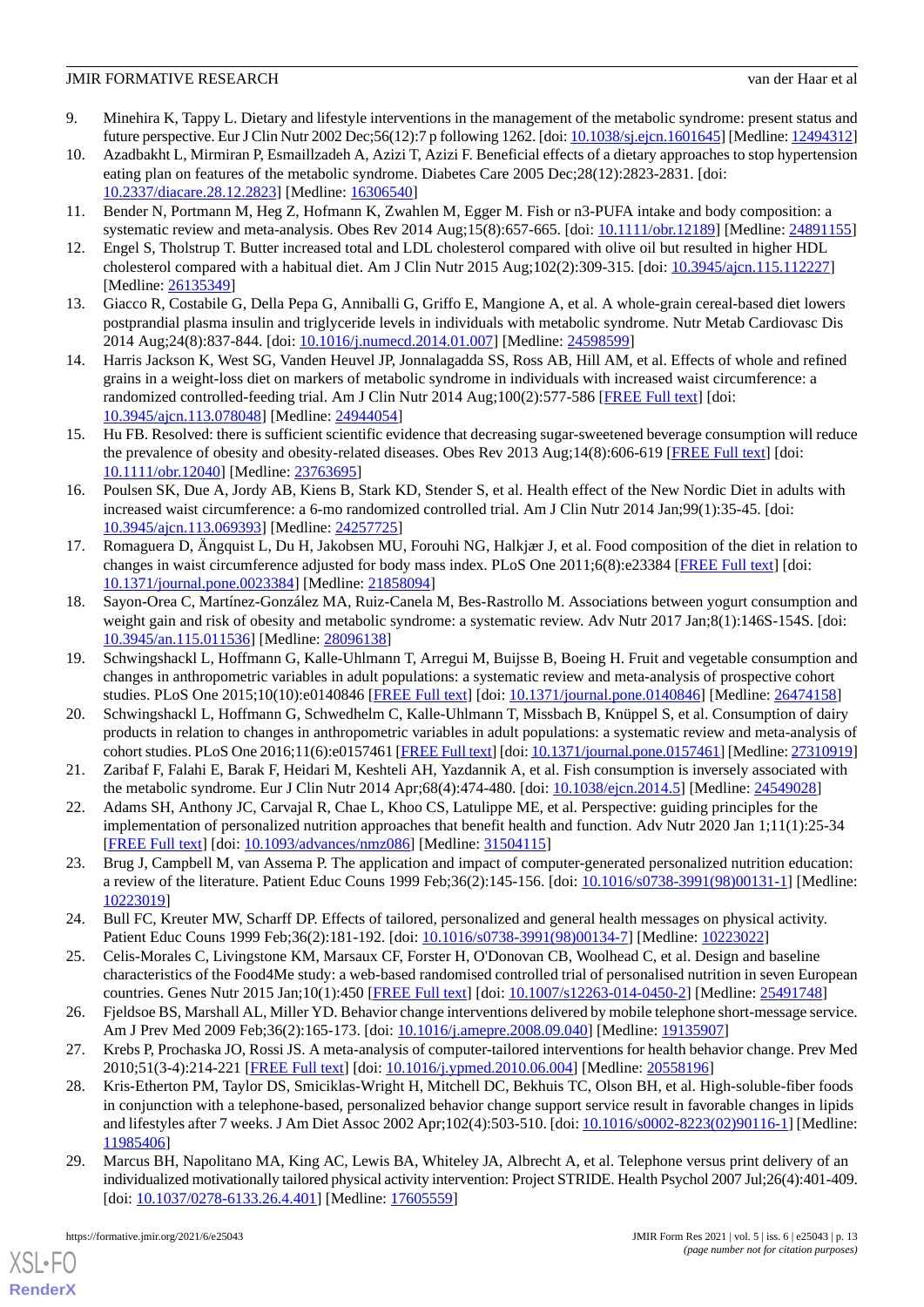- <span id="page-12-0"></span>9. Minehira K, Tappy L. Dietary and lifestyle interventions in the management of the metabolic syndrome: present status and future perspective. Eur J Clin Nutr 2002 Dec;56(12):7 p following 1262. [doi: [10.1038/sj.ejcn.1601645](http://dx.doi.org/10.1038/sj.ejcn.1601645)] [Medline: [12494312\]](http://www.ncbi.nlm.nih.gov/entrez/query.fcgi?cmd=Retrieve&db=PubMed&list_uids=12494312&dopt=Abstract)
- <span id="page-12-1"></span>10. Azadbakht L, Mirmiran P, Esmaillzadeh A, Azizi T, Azizi F. Beneficial effects of a dietary approaches to stop hypertension eating plan on features of the metabolic syndrome. Diabetes Care 2005 Dec;28(12):2823-2831. [doi: [10.2337/diacare.28.12.2823](http://dx.doi.org/10.2337/diacare.28.12.2823)] [Medline: [16306540\]](http://www.ncbi.nlm.nih.gov/entrez/query.fcgi?cmd=Retrieve&db=PubMed&list_uids=16306540&dopt=Abstract)
- <span id="page-12-13"></span><span id="page-12-2"></span>11. Bender N, Portmann M, Heg Z, Hofmann K, Zwahlen M, Egger M. Fish or n3-PUFA intake and body composition: a systematic review and meta-analysis. Obes Rev 2014 Aug;15(8):657-665. [doi: [10.1111/obr.12189](http://dx.doi.org/10.1111/obr.12189)] [Medline: [24891155\]](http://www.ncbi.nlm.nih.gov/entrez/query.fcgi?cmd=Retrieve&db=PubMed&list_uids=24891155&dopt=Abstract)
- <span id="page-12-9"></span>12. Engel S, Tholstrup T. Butter increased total and LDL cholesterol compared with olive oil but resulted in higher HDL cholesterol compared with a habitual diet. Am J Clin Nutr 2015 Aug;102(2):309-315. [doi: [10.3945/ajcn.115.112227\]](http://dx.doi.org/10.3945/ajcn.115.112227) [Medline: [26135349](http://www.ncbi.nlm.nih.gov/entrez/query.fcgi?cmd=Retrieve&db=PubMed&list_uids=26135349&dopt=Abstract)]
- <span id="page-12-10"></span>13. Giacco R, Costabile G, Della Pepa G, Anniballi G, Griffo E, Mangione A, et al. A whole-grain cereal-based diet lowers postprandial plasma insulin and triglyceride levels in individuals with metabolic syndrome. Nutr Metab Cardiovasc Dis 2014 Aug;24(8):837-844. [doi: [10.1016/j.numecd.2014.01.007\]](http://dx.doi.org/10.1016/j.numecd.2014.01.007) [Medline: [24598599\]](http://www.ncbi.nlm.nih.gov/entrez/query.fcgi?cmd=Retrieve&db=PubMed&list_uids=24598599&dopt=Abstract)
- 14. Harris Jackson K, West SG, Vanden Heuvel JP, Jonnalagadda SS, Ross AB, Hill AM, et al. Effects of whole and refined grains in a weight-loss diet on markers of metabolic syndrome in individuals with increased waist circumference: a randomized controlled-feeding trial. Am J Clin Nutr 2014 Aug;100(2):577-586 [\[FREE Full text\]](http://europepmc.org/abstract/MED/24944054) [doi: [10.3945/ajcn.113.078048](http://dx.doi.org/10.3945/ajcn.113.078048)] [Medline: [24944054](http://www.ncbi.nlm.nih.gov/entrez/query.fcgi?cmd=Retrieve&db=PubMed&list_uids=24944054&dopt=Abstract)]
- <span id="page-12-6"></span>15. Hu FB. Resolved: there is sufficient scientific evidence that decreasing sugar-sweetened beverage consumption will reduce the prevalence of obesity and obesity-related diseases. Obes Rev 2013 Aug;14(8):606-619 [[FREE Full text](http://europepmc.org/abstract/MED/23763695)] [doi: [10.1111/obr.12040](http://dx.doi.org/10.1111/obr.12040)] [Medline: [23763695\]](http://www.ncbi.nlm.nih.gov/entrez/query.fcgi?cmd=Retrieve&db=PubMed&list_uids=23763695&dopt=Abstract)
- <span id="page-12-7"></span>16. Poulsen SK, Due A, Jordy AB, Kiens B, Stark KD, Stender S, et al. Health effect of the New Nordic Diet in adults with increased waist circumference: a 6-mo randomized controlled trial. Am J Clin Nutr 2014 Jan;99(1):35-45. [doi: [10.3945/ajcn.113.069393](http://dx.doi.org/10.3945/ajcn.113.069393)] [Medline: [24257725](http://www.ncbi.nlm.nih.gov/entrez/query.fcgi?cmd=Retrieve&db=PubMed&list_uids=24257725&dopt=Abstract)]
- <span id="page-12-11"></span>17. Romaguera D, Ängquist L, Du H, Jakobsen MU, Forouhi NG, Halkjær J, et al. Food composition of the diet in relation to changes in waist circumference adjusted for body mass index. PLoS One 2011;6(8):e23384 [\[FREE Full text\]](https://dx.plos.org/10.1371/journal.pone.0023384) [doi: [10.1371/journal.pone.0023384\]](http://dx.doi.org/10.1371/journal.pone.0023384) [Medline: [21858094](http://www.ncbi.nlm.nih.gov/entrez/query.fcgi?cmd=Retrieve&db=PubMed&list_uids=21858094&dopt=Abstract)]
- <span id="page-12-8"></span>18. Sayon-Orea C, Martínez-González MA, Ruiz-Canela M, Bes-Rastrollo M. Associations between yogurt consumption and weight gain and risk of obesity and metabolic syndrome: a systematic review. Adv Nutr 2017 Jan;8(1):146S-154S. [doi: [10.3945/an.115.011536](http://dx.doi.org/10.3945/an.115.011536)] [Medline: [28096138](http://www.ncbi.nlm.nih.gov/entrez/query.fcgi?cmd=Retrieve&db=PubMed&list_uids=28096138&dopt=Abstract)]
- <span id="page-12-12"></span>19. Schwingshackl L, Hoffmann G, Kalle-Uhlmann T, Arregui M, Buijsse B, Boeing H. Fruit and vegetable consumption and changes in anthropometric variables in adult populations: a systematic review and meta-analysis of prospective cohort studies. PLoS One 2015;10(10):e0140846 [[FREE Full text](https://dx.plos.org/10.1371/journal.pone.0140846)] [doi: [10.1371/journal.pone.0140846](http://dx.doi.org/10.1371/journal.pone.0140846)] [Medline: [26474158](http://www.ncbi.nlm.nih.gov/entrez/query.fcgi?cmd=Retrieve&db=PubMed&list_uids=26474158&dopt=Abstract)]
- <span id="page-12-4"></span><span id="page-12-3"></span>20. Schwingshackl L, Hoffmann G, Schwedhelm C, Kalle-Uhlmann T, Missbach B, Knüppel S, et al. Consumption of dairy products in relation to changes in anthropometric variables in adult populations: a systematic review and meta-analysis of cohort studies. PLoS One 2016;11(6):e0157461 [\[FREE Full text\]](https://dx.plos.org/10.1371/journal.pone.0157461) [doi: [10.1371/journal.pone.0157461\]](http://dx.doi.org/10.1371/journal.pone.0157461) [Medline: [27310919\]](http://www.ncbi.nlm.nih.gov/entrez/query.fcgi?cmd=Retrieve&db=PubMed&list_uids=27310919&dopt=Abstract)
- <span id="page-12-5"></span>21. Zaribaf F, Falahi E, Barak F, Heidari M, Keshteli AH, Yazdannik A, et al. Fish consumption is inversely associated with the metabolic syndrome. Eur J Clin Nutr 2014 Apr;68(4):474-480. [doi: [10.1038/ejcn.2014.5](http://dx.doi.org/10.1038/ejcn.2014.5)] [Medline: [24549028](http://www.ncbi.nlm.nih.gov/entrez/query.fcgi?cmd=Retrieve&db=PubMed&list_uids=24549028&dopt=Abstract)]
- 22. Adams SH, Anthony JC, Carvajal R, Chae L, Khoo CS, Latulippe ME, et al. Perspective: guiding principles for the implementation of personalized nutrition approaches that benefit health and function. Adv Nutr 2020 Jan 1;11(1):25-34 [[FREE Full text](http://europepmc.org/abstract/MED/31504115)] [doi: [10.1093/advances/nmz086](http://dx.doi.org/10.1093/advances/nmz086)] [Medline: [31504115\]](http://www.ncbi.nlm.nih.gov/entrez/query.fcgi?cmd=Retrieve&db=PubMed&list_uids=31504115&dopt=Abstract)
- 23. Brug J, Campbell M, van Assema P. The application and impact of computer-generated personalized nutrition education: a review of the literature. Patient Educ Couns 1999 Feb;36(2):145-156. [doi: [10.1016/s0738-3991\(98\)00131-1\]](http://dx.doi.org/10.1016/s0738-3991(98)00131-1) [Medline: [10223019](http://www.ncbi.nlm.nih.gov/entrez/query.fcgi?cmd=Retrieve&db=PubMed&list_uids=10223019&dopt=Abstract)]
- 24. Bull FC, Kreuter MW, Scharff DP. Effects of tailored, personalized and general health messages on physical activity. Patient Educ Couns 1999 Feb;36(2):181-192. [doi: [10.1016/s0738-3991\(98\)00134-7\]](http://dx.doi.org/10.1016/s0738-3991(98)00134-7) [Medline: [10223022](http://www.ncbi.nlm.nih.gov/entrez/query.fcgi?cmd=Retrieve&db=PubMed&list_uids=10223022&dopt=Abstract)]
- 25. Celis-Morales C, Livingstone KM, Marsaux CF, Forster H, O'Donovan CB, Woolhead C, et al. Design and baseline characteristics of the Food4Me study: a web-based randomised controlled trial of personalised nutrition in seven European countries. Genes Nutr 2015 Jan;10(1):450 [\[FREE Full text\]](http://europepmc.org/abstract/MED/25491748) [doi: [10.1007/s12263-014-0450-2](http://dx.doi.org/10.1007/s12263-014-0450-2)] [Medline: [25491748\]](http://www.ncbi.nlm.nih.gov/entrez/query.fcgi?cmd=Retrieve&db=PubMed&list_uids=25491748&dopt=Abstract)
- 26. Fjeldsoe BS, Marshall AL, Miller YD. Behavior change interventions delivered by mobile telephone short-message service. Am J Prev Med 2009 Feb;36(2):165-173. [doi: [10.1016/j.amepre.2008.09.040\]](http://dx.doi.org/10.1016/j.amepre.2008.09.040) [Medline: [19135907](http://www.ncbi.nlm.nih.gov/entrez/query.fcgi?cmd=Retrieve&db=PubMed&list_uids=19135907&dopt=Abstract)]
- 27. Krebs P, Prochaska JO, Rossi JS. A meta-analysis of computer-tailored interventions for health behavior change. Prev Med 2010;51(3-4):214-221 [\[FREE Full text\]](http://europepmc.org/abstract/MED/20558196) [doi: [10.1016/j.ypmed.2010.06.004](http://dx.doi.org/10.1016/j.ypmed.2010.06.004)] [Medline: [20558196\]](http://www.ncbi.nlm.nih.gov/entrez/query.fcgi?cmd=Retrieve&db=PubMed&list_uids=20558196&dopt=Abstract)
- 28. Kris-Etherton PM, Taylor DS, Smiciklas-Wright H, Mitchell DC, Bekhuis TC, Olson BH, et al. High-soluble-fiber foods in conjunction with a telephone-based, personalized behavior change support service result in favorable changes in lipids and lifestyles after 7 weeks. J Am Diet Assoc 2002 Apr;102(4):503-510. [doi: [10.1016/s0002-8223\(02\)90116-1\]](http://dx.doi.org/10.1016/s0002-8223(02)90116-1) [Medline: [11985406](http://www.ncbi.nlm.nih.gov/entrez/query.fcgi?cmd=Retrieve&db=PubMed&list_uids=11985406&dopt=Abstract)]
- 29. Marcus BH, Napolitano MA, King AC, Lewis BA, Whiteley JA, Albrecht A, et al. Telephone versus print delivery of an individualized motivationally tailored physical activity intervention: Project STRIDE. Health Psychol 2007 Jul;26(4):401-409. [doi: [10.1037/0278-6133.26.4.401](http://dx.doi.org/10.1037/0278-6133.26.4.401)] [Medline: [17605559\]](http://www.ncbi.nlm.nih.gov/entrez/query.fcgi?cmd=Retrieve&db=PubMed&list_uids=17605559&dopt=Abstract)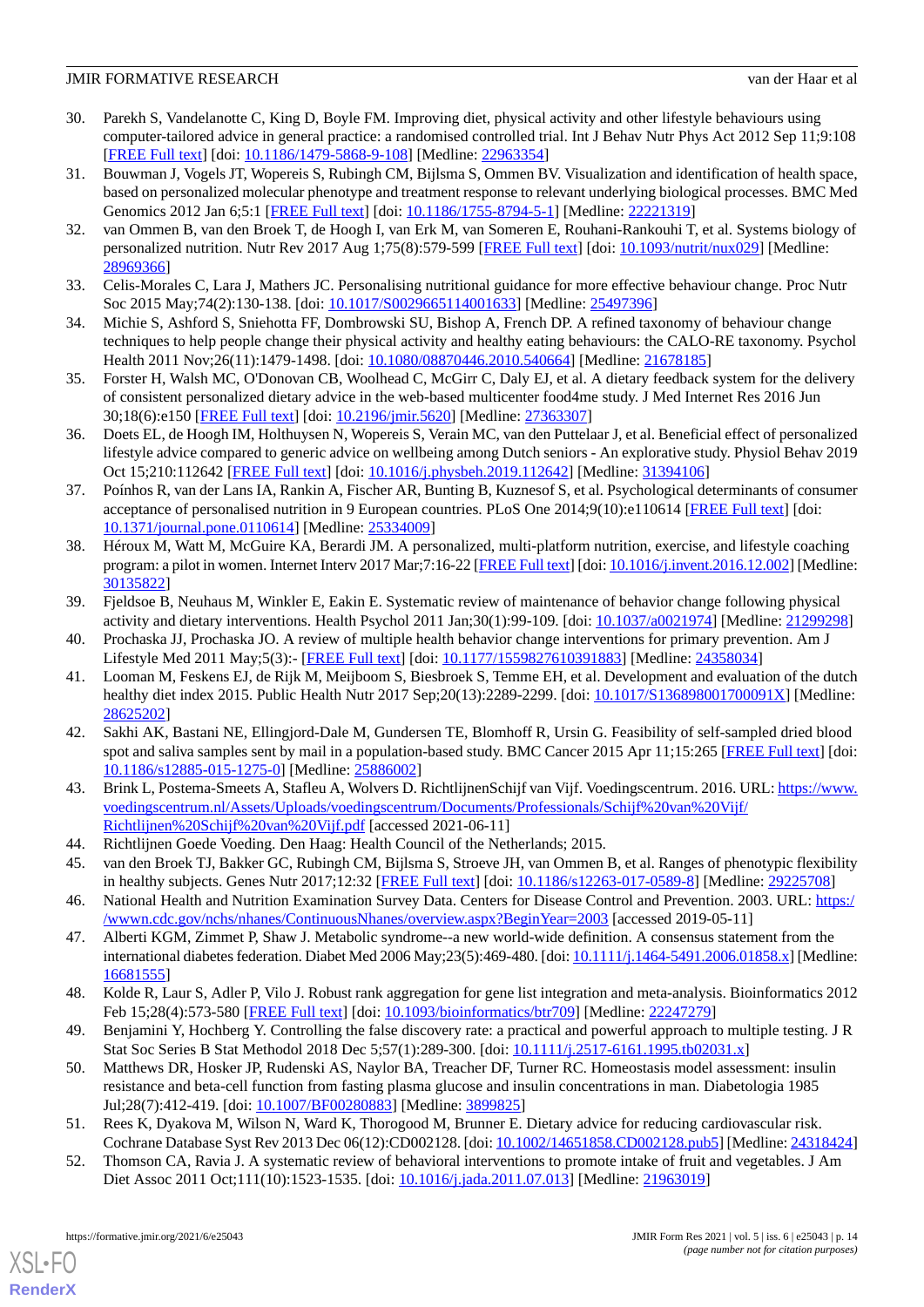- <span id="page-13-0"></span>30. Parekh S, Vandelanotte C, King D, Boyle FM. Improving diet, physical activity and other lifestyle behaviours using computer-tailored advice in general practice: a randomised controlled trial. Int J Behav Nutr Phys Act 2012 Sep 11;9:108 [[FREE Full text](https://ijbnpa.biomedcentral.com/articles/10.1186/1479-5868-9-108)] [doi: [10.1186/1479-5868-9-108\]](http://dx.doi.org/10.1186/1479-5868-9-108) [Medline: [22963354](http://www.ncbi.nlm.nih.gov/entrez/query.fcgi?cmd=Retrieve&db=PubMed&list_uids=22963354&dopt=Abstract)]
- <span id="page-13-1"></span>31. Bouwman J, Vogels JT, Wopereis S, Rubingh CM, Bijlsma S, Ommen BV. Visualization and identification of health space, based on personalized molecular phenotype and treatment response to relevant underlying biological processes. BMC Med Genomics 2012 Jan 6;5:1 [\[FREE Full text\]](https://bmcmedgenomics.biomedcentral.com/articles/10.1186/1755-8794-5-1) [doi: [10.1186/1755-8794-5-1](http://dx.doi.org/10.1186/1755-8794-5-1)] [Medline: [22221319\]](http://www.ncbi.nlm.nih.gov/entrez/query.fcgi?cmd=Retrieve&db=PubMed&list_uids=22221319&dopt=Abstract)
- <span id="page-13-2"></span>32. van Ommen B, van den Broek T, de Hoogh I, van Erk M, van Someren E, Rouhani-Rankouhi T, et al. Systems biology of personalized nutrition. Nutr Rev 2017 Aug 1;75(8):579-599 [[FREE Full text](http://europepmc.org/abstract/MED/28969366)] [doi: [10.1093/nutrit/nux029](http://dx.doi.org/10.1093/nutrit/nux029)] [Medline: [28969366](http://www.ncbi.nlm.nih.gov/entrez/query.fcgi?cmd=Retrieve&db=PubMed&list_uids=28969366&dopt=Abstract)]
- <span id="page-13-4"></span><span id="page-13-3"></span>33. Celis-Morales C, Lara J, Mathers JC. Personalising nutritional guidance for more effective behaviour change. Proc Nutr Soc 2015 May;74(2):130-138. [doi: [10.1017/S0029665114001633\]](http://dx.doi.org/10.1017/S0029665114001633) [Medline: [25497396](http://www.ncbi.nlm.nih.gov/entrez/query.fcgi?cmd=Retrieve&db=PubMed&list_uids=25497396&dopt=Abstract)]
- <span id="page-13-5"></span>34. Michie S, Ashford S, Sniehotta FF, Dombrowski SU, Bishop A, French DP. A refined taxonomy of behaviour change techniques to help people change their physical activity and healthy eating behaviours: the CALO-RE taxonomy. Psychol Health 2011 Nov;26(11):1479-1498. [doi: [10.1080/08870446.2010.540664\]](http://dx.doi.org/10.1080/08870446.2010.540664) [Medline: [21678185](http://www.ncbi.nlm.nih.gov/entrez/query.fcgi?cmd=Retrieve&db=PubMed&list_uids=21678185&dopt=Abstract)]
- <span id="page-13-6"></span>35. Forster H, Walsh MC, O'Donovan CB, Woolhead C, McGirr C, Daly EJ, et al. A dietary feedback system for the delivery of consistent personalized dietary advice in the web-based multicenter food4me study. J Med Internet Res 2016 Jun 30;18(6):e150 [\[FREE Full text](https://www.jmir.org/2016/6/e150/)] [doi: [10.2196/jmir.5620](http://dx.doi.org/10.2196/jmir.5620)] [Medline: [27363307](http://www.ncbi.nlm.nih.gov/entrez/query.fcgi?cmd=Retrieve&db=PubMed&list_uids=27363307&dopt=Abstract)]
- <span id="page-13-7"></span>36. Doets EL, de Hoogh IM, Holthuysen N, Wopereis S, Verain MC, van den Puttelaar J, et al. Beneficial effect of personalized lifestyle advice compared to generic advice on wellbeing among Dutch seniors - An explorative study. Physiol Behav 2019 Oct 15;210:112642 [[FREE Full text](https://linkinghub.elsevier.com/retrieve/pii/S0031-9384(18)30571-7)] [doi: [10.1016/j.physbeh.2019.112642](http://dx.doi.org/10.1016/j.physbeh.2019.112642)] [Medline: [31394106](http://www.ncbi.nlm.nih.gov/entrez/query.fcgi?cmd=Retrieve&db=PubMed&list_uids=31394106&dopt=Abstract)]
- <span id="page-13-8"></span>37. Poínhos R, van der Lans IA, Rankin A, Fischer AR, Bunting B, Kuznesof S, et al. Psychological determinants of consumer acceptance of personalised nutrition in 9 European countries. PLoS One 2014;9(10):e110614 [[FREE Full text](https://dx.plos.org/10.1371/journal.pone.0110614)] [doi: [10.1371/journal.pone.0110614\]](http://dx.doi.org/10.1371/journal.pone.0110614) [Medline: [25334009](http://www.ncbi.nlm.nih.gov/entrez/query.fcgi?cmd=Retrieve&db=PubMed&list_uids=25334009&dopt=Abstract)]
- <span id="page-13-9"></span>38. Héroux M, Watt M, McGuire KA, Berardi JM. A personalized, multi-platform nutrition, exercise, and lifestyle coaching program: a pilot in women. Internet Interv 2017 Mar;7:16-22 [[FREE Full text](https://linkinghub.elsevier.com/retrieve/pii/S2214-7829(16)30006-9)] [doi: [10.1016/j.invent.2016.12.002\]](http://dx.doi.org/10.1016/j.invent.2016.12.002) [Medline: [30135822](http://www.ncbi.nlm.nih.gov/entrez/query.fcgi?cmd=Retrieve&db=PubMed&list_uids=30135822&dopt=Abstract)]
- <span id="page-13-11"></span><span id="page-13-10"></span>39. Fjeldsoe B, Neuhaus M, Winkler E, Eakin E. Systematic review of maintenance of behavior change following physical activity and dietary interventions. Health Psychol 2011 Jan;30(1):99-109. [doi: [10.1037/a0021974\]](http://dx.doi.org/10.1037/a0021974) [Medline: [21299298\]](http://www.ncbi.nlm.nih.gov/entrez/query.fcgi?cmd=Retrieve&db=PubMed&list_uids=21299298&dopt=Abstract)
- 40. Prochaska JJ, Prochaska JO. A review of multiple health behavior change interventions for primary prevention. Am J Lifestyle Med 2011 May;5(3):- [[FREE Full text](http://europepmc.org/abstract/MED/24358034)] [doi: [10.1177/1559827610391883](http://dx.doi.org/10.1177/1559827610391883)] [Medline: [24358034](http://www.ncbi.nlm.nih.gov/entrez/query.fcgi?cmd=Retrieve&db=PubMed&list_uids=24358034&dopt=Abstract)]
- <span id="page-13-12"></span>41. Looman M, Feskens EJ, de Rijk M, Meijboom S, Biesbroek S, Temme EH, et al. Development and evaluation of the dutch healthy diet index 2015. Public Health Nutr 2017 Sep;20(13):2289-2299. [doi: [10.1017/S136898001700091X](http://dx.doi.org/10.1017/S136898001700091X)] [Medline: [28625202](http://www.ncbi.nlm.nih.gov/entrez/query.fcgi?cmd=Retrieve&db=PubMed&list_uids=28625202&dopt=Abstract)]
- <span id="page-13-13"></span>42. Sakhi AK, Bastani NE, Ellingjord-Dale M, Gundersen TE, Blomhoff R, Ursin G. Feasibility of self-sampled dried blood spot and saliva samples sent by mail in a population-based study. BMC Cancer 2015 Apr 11;15:265 [\[FREE Full text](https://bmccancer.biomedcentral.com/articles/10.1186/s12885-015-1275-0)] [doi: [10.1186/s12885-015-1275-0\]](http://dx.doi.org/10.1186/s12885-015-1275-0) [Medline: [25886002](http://www.ncbi.nlm.nih.gov/entrez/query.fcgi?cmd=Retrieve&db=PubMed&list_uids=25886002&dopt=Abstract)]
- <span id="page-13-16"></span><span id="page-13-15"></span><span id="page-13-14"></span>43. Brink L, Postema-Smeets A, Stafleu A, Wolvers D. RichtlijnenSchijf van Vijf. Voedingscentrum. 2016. URL: [https://www.](https://www.voedingscentrum.nl/Assets/Uploads/voedingscentrum/Documents/Professionals/Schijf%20van%20Vijf/Richtlijnen%20Schijf%20van%20Vijf.pdf) [voedingscentrum.nl/Assets/Uploads/voedingscentrum/Documents/Professionals/Schijf%20van%20Vijf/](https://www.voedingscentrum.nl/Assets/Uploads/voedingscentrum/Documents/Professionals/Schijf%20van%20Vijf/Richtlijnen%20Schijf%20van%20Vijf.pdf) [Richtlijnen%20Schijf%20van%20Vijf.pdf](https://www.voedingscentrum.nl/Assets/Uploads/voedingscentrum/Documents/Professionals/Schijf%20van%20Vijf/Richtlijnen%20Schijf%20van%20Vijf.pdf) [accessed 2021-06-11]
- <span id="page-13-17"></span>44. Richtlijnen Goede Voeding. Den Haag: Health Council of the Netherlands; 2015.
- 45. van den Broek TJ, Bakker GC, Rubingh CM, Bijlsma S, Stroeve JH, van Ommen B, et al. Ranges of phenotypic flexibility in healthy subjects. Genes Nutr 2017;12:32 [[FREE Full text](http://europepmc.org/abstract/MED/29225708)] [doi: [10.1186/s12263-017-0589-8](http://dx.doi.org/10.1186/s12263-017-0589-8)] [Medline: [29225708](http://www.ncbi.nlm.nih.gov/entrez/query.fcgi?cmd=Retrieve&db=PubMed&list_uids=29225708&dopt=Abstract)]
- <span id="page-13-18"></span>46. National Health and Nutrition Examination Survey Data. Centers for Disease Control and Prevention. 2003. URL: [https:/](https://wwwn.cdc.gov/nchs/nhanes/ContinuousNhanes/overview.aspx?BeginYear=2003) [/wwwn.cdc.gov/nchs/nhanes/ContinuousNhanes/overview.aspx?BeginYear=2003](https://wwwn.cdc.gov/nchs/nhanes/ContinuousNhanes/overview.aspx?BeginYear=2003) [accessed 2019-05-11]
- <span id="page-13-20"></span><span id="page-13-19"></span>47. Alberti KGM, Zimmet P, Shaw J. Metabolic syndrome--a new world-wide definition. A consensus statement from the international diabetes federation. Diabet Med 2006 May;23(5):469-480. [doi: [10.1111/j.1464-5491.2006.01858.x\]](http://dx.doi.org/10.1111/j.1464-5491.2006.01858.x) [Medline: [16681555](http://www.ncbi.nlm.nih.gov/entrez/query.fcgi?cmd=Retrieve&db=PubMed&list_uids=16681555&dopt=Abstract)]
- <span id="page-13-21"></span>48. Kolde R, Laur S, Adler P, Vilo J. Robust rank aggregation for gene list integration and meta-analysis. Bioinformatics 2012 Feb 15;28(4):573-580 [\[FREE Full text\]](http://europepmc.org/abstract/MED/22247279) [doi: [10.1093/bioinformatics/btr709](http://dx.doi.org/10.1093/bioinformatics/btr709)] [Medline: [22247279](http://www.ncbi.nlm.nih.gov/entrez/query.fcgi?cmd=Retrieve&db=PubMed&list_uids=22247279&dopt=Abstract)]
- <span id="page-13-22"></span>49. Benjamini Y, Hochberg Y. Controlling the false discovery rate: a practical and powerful approach to multiple testing. J R Stat Soc Series B Stat Methodol 2018 Dec 5;57(1):289-300. [doi: [10.1111/j.2517-6161.1995.tb02031.x\]](http://dx.doi.org/10.1111/j.2517-6161.1995.tb02031.x)
- 50. Matthews DR, Hosker JP, Rudenski AS, Naylor BA, Treacher DF, Turner RC. Homeostasis model assessment: insulin resistance and beta-cell function from fasting plasma glucose and insulin concentrations in man. Diabetologia 1985 Jul;28(7):412-419. [doi: [10.1007/BF00280883\]](http://dx.doi.org/10.1007/BF00280883) [Medline: [3899825](http://www.ncbi.nlm.nih.gov/entrez/query.fcgi?cmd=Retrieve&db=PubMed&list_uids=3899825&dopt=Abstract)]
- 51. Rees K, Dyakova M, Wilson N, Ward K, Thorogood M, Brunner E. Dietary advice for reducing cardiovascular risk. Cochrane Database Syst Rev 2013 Dec 06(12):CD002128. [doi: [10.1002/14651858.CD002128.pub5](http://dx.doi.org/10.1002/14651858.CD002128.pub5)] [Medline: [24318424\]](http://www.ncbi.nlm.nih.gov/entrez/query.fcgi?cmd=Retrieve&db=PubMed&list_uids=24318424&dopt=Abstract)
- 52. Thomson CA, Ravia J. A systematic review of behavioral interventions to promote intake of fruit and vegetables. J Am Diet Assoc 2011 Oct;111(10):1523-1535. [doi: [10.1016/j.jada.2011.07.013\]](http://dx.doi.org/10.1016/j.jada.2011.07.013) [Medline: [21963019](http://www.ncbi.nlm.nih.gov/entrez/query.fcgi?cmd=Retrieve&db=PubMed&list_uids=21963019&dopt=Abstract)]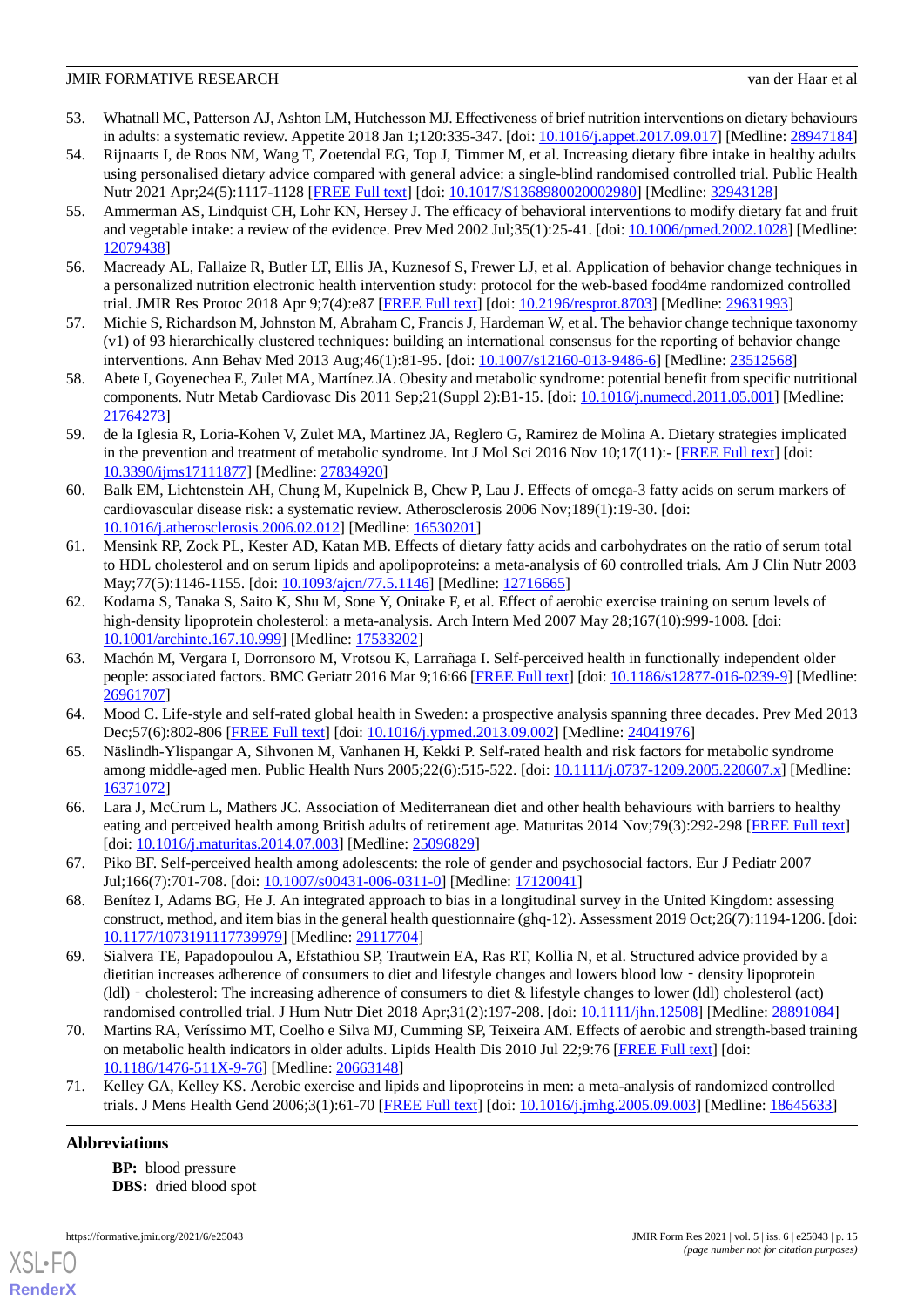- <span id="page-14-0"></span>53. Whatnall MC, Patterson AJ, Ashton LM, Hutchesson MJ. Effectiveness of brief nutrition interventions on dietary behaviours in adults: a systematic review. Appetite 2018 Jan 1;120:335-347. [doi: [10.1016/j.appet.2017.09.017](http://dx.doi.org/10.1016/j.appet.2017.09.017)] [Medline: [28947184](http://www.ncbi.nlm.nih.gov/entrez/query.fcgi?cmd=Retrieve&db=PubMed&list_uids=28947184&dopt=Abstract)]
- <span id="page-14-1"></span>54. Rijnaarts I, de Roos NM, Wang T, Zoetendal EG, Top J, Timmer M, et al. Increasing dietary fibre intake in healthy adults using personalised dietary advice compared with general advice: a single-blind randomised controlled trial. Public Health Nutr 2021 Apr;24(5):1117-1128 [[FREE Full text](http://europepmc.org/abstract/MED/32943128)] [doi: [10.1017/S1368980020002980](http://dx.doi.org/10.1017/S1368980020002980)] [Medline: [32943128](http://www.ncbi.nlm.nih.gov/entrez/query.fcgi?cmd=Retrieve&db=PubMed&list_uids=32943128&dopt=Abstract)]
- <span id="page-14-2"></span>55. Ammerman AS, Lindquist CH, Lohr KN, Hersey J. The efficacy of behavioral interventions to modify dietary fat and fruit and vegetable intake: a review of the evidence. Prev Med 2002 Jul;35(1):25-41. [doi: [10.1006/pmed.2002.1028\]](http://dx.doi.org/10.1006/pmed.2002.1028) [Medline: [12079438](http://www.ncbi.nlm.nih.gov/entrez/query.fcgi?cmd=Retrieve&db=PubMed&list_uids=12079438&dopt=Abstract)]
- <span id="page-14-3"></span>56. Macready AL, Fallaize R, Butler LT, Ellis JA, Kuznesof S, Frewer LJ, et al. Application of behavior change techniques in a personalized nutrition electronic health intervention study: protocol for the web-based food4me randomized controlled trial. JMIR Res Protoc 2018 Apr 9;7(4):e87 [\[FREE Full text\]](https://www.researchprotocols.org/2018/4/e87/) [doi: [10.2196/resprot.8703](http://dx.doi.org/10.2196/resprot.8703)] [Medline: [29631993](http://www.ncbi.nlm.nih.gov/entrez/query.fcgi?cmd=Retrieve&db=PubMed&list_uids=29631993&dopt=Abstract)]
- <span id="page-14-4"></span>57. Michie S, Richardson M, Johnston M, Abraham C, Francis J, Hardeman W, et al. The behavior change technique taxonomy (v1) of 93 hierarchically clustered techniques: building an international consensus for the reporting of behavior change interventions. Ann Behav Med 2013 Aug;46(1):81-95. [doi: [10.1007/s12160-013-9486-6\]](http://dx.doi.org/10.1007/s12160-013-9486-6) [Medline: [23512568\]](http://www.ncbi.nlm.nih.gov/entrez/query.fcgi?cmd=Retrieve&db=PubMed&list_uids=23512568&dopt=Abstract)
- <span id="page-14-5"></span>58. Abete I, Goyenechea E, Zulet MA, Martínez JA. Obesity and metabolic syndrome: potential benefit from specific nutritional components. Nutr Metab Cardiovasc Dis 2011 Sep;21(Suppl 2):B1-15. [doi: [10.1016/j.numecd.2011.05.001\]](http://dx.doi.org/10.1016/j.numecd.2011.05.001) [Medline: [21764273](http://www.ncbi.nlm.nih.gov/entrez/query.fcgi?cmd=Retrieve&db=PubMed&list_uids=21764273&dopt=Abstract)]
- <span id="page-14-6"></span>59. de la Iglesia R, Loria-Kohen V, Zulet MA, Martinez JA, Reglero G, Ramirez de Molina A. Dietary strategies implicated in the prevention and treatment of metabolic syndrome. Int J Mol Sci 2016 Nov 10;17(11):- [[FREE Full text](https://www.mdpi.com/resolver?pii=ijms17111877)] [doi: [10.3390/ijms17111877](http://dx.doi.org/10.3390/ijms17111877)] [Medline: [27834920\]](http://www.ncbi.nlm.nih.gov/entrez/query.fcgi?cmd=Retrieve&db=PubMed&list_uids=27834920&dopt=Abstract)
- <span id="page-14-7"></span>60. Balk EM, Lichtenstein AH, Chung M, Kupelnick B, Chew P, Lau J. Effects of omega-3 fatty acids on serum markers of cardiovascular disease risk: a systematic review. Atherosclerosis 2006 Nov;189(1):19-30. [doi: [10.1016/j.atherosclerosis.2006.02.012](http://dx.doi.org/10.1016/j.atherosclerosis.2006.02.012)] [Medline: [16530201\]](http://www.ncbi.nlm.nih.gov/entrez/query.fcgi?cmd=Retrieve&db=PubMed&list_uids=16530201&dopt=Abstract)
- <span id="page-14-8"></span>61. Mensink RP, Zock PL, Kester AD, Katan MB. Effects of dietary fatty acids and carbohydrates on the ratio of serum total to HDL cholesterol and on serum lipids and apolipoproteins: a meta-analysis of 60 controlled trials. Am J Clin Nutr 2003 May;77(5):1146-1155. [doi: [10.1093/ajcn/77.5.1146](http://dx.doi.org/10.1093/ajcn/77.5.1146)] [Medline: [12716665](http://www.ncbi.nlm.nih.gov/entrez/query.fcgi?cmd=Retrieve&db=PubMed&list_uids=12716665&dopt=Abstract)]
- <span id="page-14-9"></span>62. Kodama S, Tanaka S, Saito K, Shu M, Sone Y, Onitake F, et al. Effect of aerobic exercise training on serum levels of high-density lipoprotein cholesterol: a meta-analysis. Arch Intern Med 2007 May 28;167(10):999-1008. [doi: [10.1001/archinte.167.10.999\]](http://dx.doi.org/10.1001/archinte.167.10.999) [Medline: [17533202](http://www.ncbi.nlm.nih.gov/entrez/query.fcgi?cmd=Retrieve&db=PubMed&list_uids=17533202&dopt=Abstract)]
- <span id="page-14-11"></span><span id="page-14-10"></span>63. Machón M, Vergara I, Dorronsoro M, Vrotsou K, Larrañaga I. Self-perceived health in functionally independent older people: associated factors. BMC Geriatr 2016 Mar 9;16:66 [\[FREE Full text\]](https://bmcgeriatr.biomedcentral.com/articles/10.1186/s12877-016-0239-9) [doi: [10.1186/s12877-016-0239-9\]](http://dx.doi.org/10.1186/s12877-016-0239-9) [Medline: [26961707](http://www.ncbi.nlm.nih.gov/entrez/query.fcgi?cmd=Retrieve&db=PubMed&list_uids=26961707&dopt=Abstract)]
- <span id="page-14-12"></span>64. Mood C. Life-style and self-rated global health in Sweden: a prospective analysis spanning three decades. Prev Med 2013 Dec;57(6):802-806 [\[FREE Full text](https://linkinghub.elsevier.com/retrieve/pii/S0091-7435(13)00347-2)] [doi: [10.1016/j.ypmed.2013.09.002\]](http://dx.doi.org/10.1016/j.ypmed.2013.09.002) [Medline: [24041976\]](http://www.ncbi.nlm.nih.gov/entrez/query.fcgi?cmd=Retrieve&db=PubMed&list_uids=24041976&dopt=Abstract)
- <span id="page-14-13"></span>65. Näslindh-Ylispangar A, Sihvonen M, Vanhanen H, Kekki P. Self-rated health and risk factors for metabolic syndrome among middle-aged men. Public Health Nurs 2005;22(6):515-522. [doi: [10.1111/j.0737-1209.2005.220607.x](http://dx.doi.org/10.1111/j.0737-1209.2005.220607.x)] [Medline: [16371072](http://www.ncbi.nlm.nih.gov/entrez/query.fcgi?cmd=Retrieve&db=PubMed&list_uids=16371072&dopt=Abstract)]
- <span id="page-14-14"></span>66. Lara J, McCrum L, Mathers JC. Association of Mediterranean diet and other health behaviours with barriers to healthy eating and perceived health among British adults of retirement age. Maturitas 2014 Nov;79(3):292-298 [\[FREE Full text\]](https://linkinghub.elsevier.com/retrieve/pii/S0378-5122(14)00231-X) [doi: [10.1016/j.maturitas.2014.07.003](http://dx.doi.org/10.1016/j.maturitas.2014.07.003)] [Medline: [25096829\]](http://www.ncbi.nlm.nih.gov/entrez/query.fcgi?cmd=Retrieve&db=PubMed&list_uids=25096829&dopt=Abstract)
- <span id="page-14-15"></span>67. Piko BF. Self-perceived health among adolescents: the role of gender and psychosocial factors. Eur J Pediatr 2007 Jul;166(7):701-708. [doi: [10.1007/s00431-006-0311-0](http://dx.doi.org/10.1007/s00431-006-0311-0)] [Medline: [17120041](http://www.ncbi.nlm.nih.gov/entrez/query.fcgi?cmd=Retrieve&db=PubMed&list_uids=17120041&dopt=Abstract)]
- 68. Benítez I, Adams BG, He J. An integrated approach to bias in a longitudinal survey in the United Kingdom: assessing construct, method, and item bias in the general health questionnaire (ghq-12). Assessment 2019 Oct;26(7):1194-1206. [doi: [10.1177/1073191117739979\]](http://dx.doi.org/10.1177/1073191117739979) [Medline: [29117704\]](http://www.ncbi.nlm.nih.gov/entrez/query.fcgi?cmd=Retrieve&db=PubMed&list_uids=29117704&dopt=Abstract)
- <span id="page-14-17"></span><span id="page-14-16"></span>69. Sialvera TE, Papadopoulou A, Efstathiou SP, Trautwein EA, Ras RT, Kollia N, et al. Structured advice provided by a dietitian increases adherence of consumers to diet and lifestyle changes and lowers blood low - density lipoprotein (ldl) - cholesterol: The increasing adherence of consumers to diet & lifestyle changes to lower (ldl) cholesterol (act) randomised controlled trial. J Hum Nutr Diet 2018 Apr;31(2):197-208. [doi: [10.1111/jhn.12508\]](http://dx.doi.org/10.1111/jhn.12508) [Medline: [28891084\]](http://www.ncbi.nlm.nih.gov/entrez/query.fcgi?cmd=Retrieve&db=PubMed&list_uids=28891084&dopt=Abstract)
- 70. Martins RA, Veríssimo MT, Coelho e Silva MJ, Cumming SP, Teixeira AM. Effects of aerobic and strength-based training on metabolic health indicators in older adults. Lipids Health Dis 2010 Jul 22;9:76 [[FREE Full text](https://lipidworld.biomedcentral.com/articles/10.1186/1476-511X-9-76)] [doi: [10.1186/1476-511X-9-76](http://dx.doi.org/10.1186/1476-511X-9-76)] [Medline: [20663148\]](http://www.ncbi.nlm.nih.gov/entrez/query.fcgi?cmd=Retrieve&db=PubMed&list_uids=20663148&dopt=Abstract)
- 71. Kelley GA, Kelley KS. Aerobic exercise and lipids and lipoproteins in men: a meta-analysis of randomized controlled trials. J Mens Health Gend 2006;3(1):61-70 [\[FREE Full text\]](http://europepmc.org/abstract/MED/18645633) [doi: [10.1016/j.jmhg.2005.09.003\]](http://dx.doi.org/10.1016/j.jmhg.2005.09.003) [Medline: [18645633](http://www.ncbi.nlm.nih.gov/entrez/query.fcgi?cmd=Retrieve&db=PubMed&list_uids=18645633&dopt=Abstract)]

# **Abbreviations**

[XSL](http://www.w3.org/Style/XSL)•FO **[RenderX](http://www.renderx.com/)**

**BP:** blood pressure **DBS:** dried blood spot